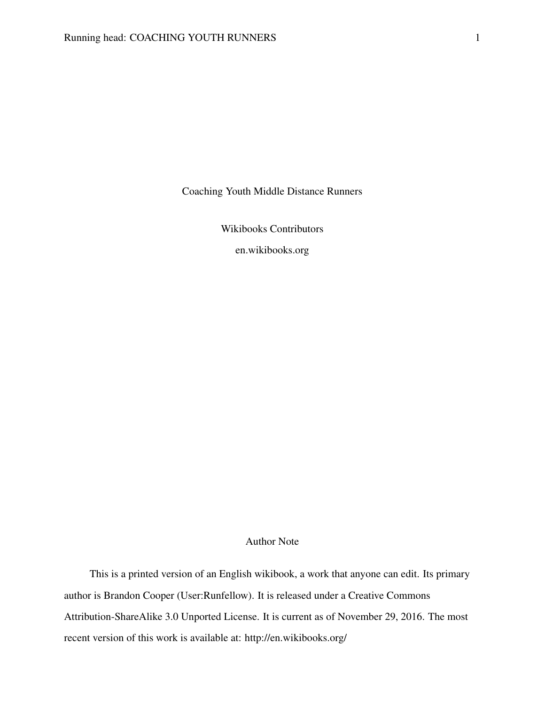Coaching Youth Middle Distance Runners

Wikibooks Contributors

[en.wikibooks.org](http://www.en.wikibooks.org)

# Author Note

This is a printed version of an English wikibook, a work that anyone can edit. Its primary author is Brandon Cooper [\(User:Runfellow\)](http://en.wikibooks.org/wiki/User:Runfellow). It is released under a [Creative Commons](http://creativecommons.org/licenses/by-sa/3.0/) [Attribution-ShareAlike 3.0 Unported License.](http://creativecommons.org/licenses/by-sa/3.0/) It is current as of November 29, 2016. The most recent version of this work is available at:<http://en.wikibooks.org/>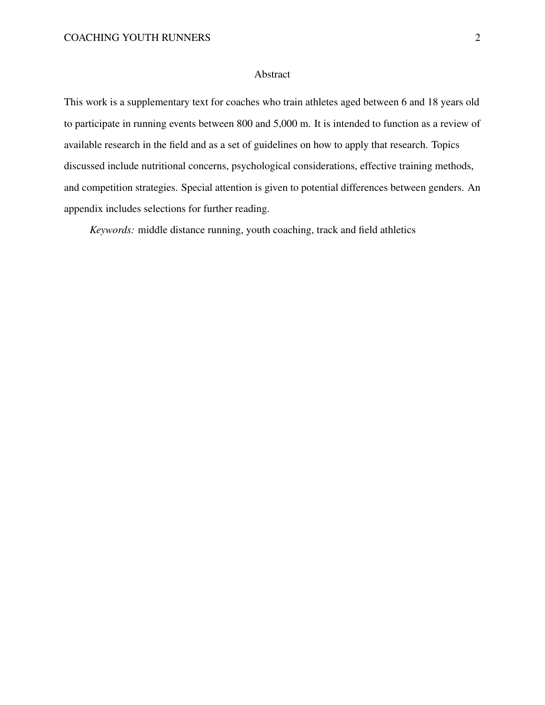## Abstract

This work is a supplementary text for coaches who train athletes aged between 6 and 18 years old to participate in running events between 800 and 5,000 m. It is intended to function as a review of available research in the field and as a set of guidelines on how to apply that research. Topics discussed include nutritional concerns, psychological considerations, effective training methods, and competition strategies. Special attention is given to potential differences between genders. An appendix includes selections for further reading.

*Keywords:* middle distance running, youth coaching, track and field athletics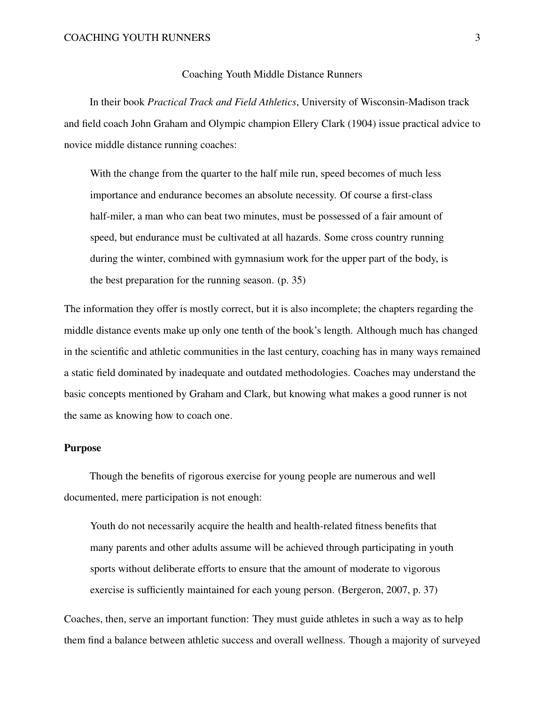#### Coaching Youth Middle Distance Runners

In their book *Practical Track and Field Athletics*, University of Wisconsin-Madison track and field coach John Graham and Olympic champion Ellery Clark [\(1904\)](#page-28-0) issue practical advice to novice middle distance running coaches:

With the change from the quarter to the half mile run, speed becomes of much less importance and endurance becomes an absolute necessity. Of course a first-class half-miler, a man who can beat two minutes, must be possessed of a fair amount of speed, but endurance must be cultivated at all hazards. Some cross country running during the winter, combined with gymnasium work for the upper part of the body, is the best preparation for the running season. (p. 35)

The information they offer is mostly correct, but it is also incomplete; the chapters regarding the middle distance events make up only one tenth of the book's length. Although much has changed in the scientific and athletic communities in the last century, coaching has in many ways remained a static field dominated by inadequate and outdated methodologies. Coaches may understand the basic concepts mentioned by Graham and Clark, but knowing what makes a good runner is not the same as knowing how to coach one.

## Purpose

Though the benefits of rigorous exercise for young people are numerous and well documented, mere participation is not enough:

Youth do not necessarily acquire the health and health-related fitness benefits that many parents and other adults assume will be achieved through participating in youth sports without deliberate efforts to ensure that the amount of moderate to vigorous exercise is sufficiently maintained for each young person. (Bergeron, [2007,](#page-22-0) p. 37)

Coaches, then, serve an important function: They must guide athletes in such a way as to help them find a balance between athletic success and overall wellness. Though a majority of surveyed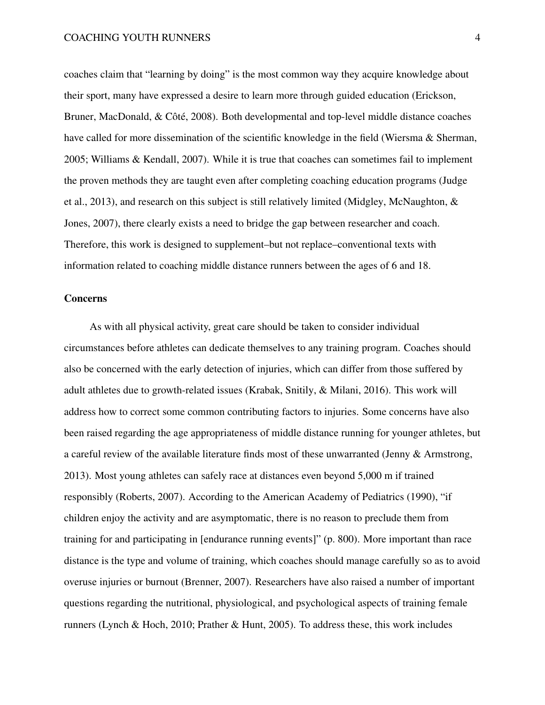coaches claim that "learning by doing" is the most common way they acquire knowledge about their sport, many have expressed a desire to learn more through guided education (Erickson, Bruner, MacDonald, & Côté, [2008\)](#page-25-0). Both developmental and top-level middle distance coaches have called for more dissemination of the scientific knowledge in the field (Wiersma & Sherman, [2005;](#page-41-0) Williams & Kendall, [2007\)](#page-41-1). While it is true that coaches can sometimes fail to implement the proven methods they are taught even after completing coaching education programs (Judge et al., [2013\)](#page-30-0), and research on this subject is still relatively limited (Midgley, McNaughton, & Jones, [2007\)](#page-33-0), there clearly exists a need to bridge the gap between researcher and coach. Therefore, this work is designed to supplement–but not replace–conventional texts with information related to coaching middle distance runners between the ages of 6 and 18.

#### **Concerns**

As with all physical activity, great care should be taken to consider individual circumstances before athletes can dedicate themselves to any training program. Coaches should also be concerned with the early detection of injuries, which can differ from those suffered by adult athletes due to growth-related issues (Krabak, Snitily, & Milani, [2016\)](#page-31-0). This work will address how to correct some common contributing factors to injuries. Some concerns have also been raised regarding the age appropriateness of middle distance running for younger athletes, but a careful review of the available literature finds most of these unwarranted (Jenny & Armstrong, [2013\)](#page-30-1). Most young athletes can safely race at distances even beyond 5,000 m if trained responsibly (Roberts, [2007\)](#page-37-0). According to the American Academy of Pediatrics [\(1990\)](#page-21-0), "if children enjoy the activity and are asymptomatic, there is no reason to preclude them from training for and participating in [endurance running events]" (p. 800). More important than race distance is the type and volume of training, which coaches should manage carefully so as to avoid overuse injuries or burnout (Brenner, [2007\)](#page-23-0). Researchers have also raised a number of important questions regarding the nutritional, physiological, and psychological aspects of training female runners (Lynch & Hoch, [2010;](#page-33-1) Prather & Hunt, [2005\)](#page-36-0). To address these, this work includes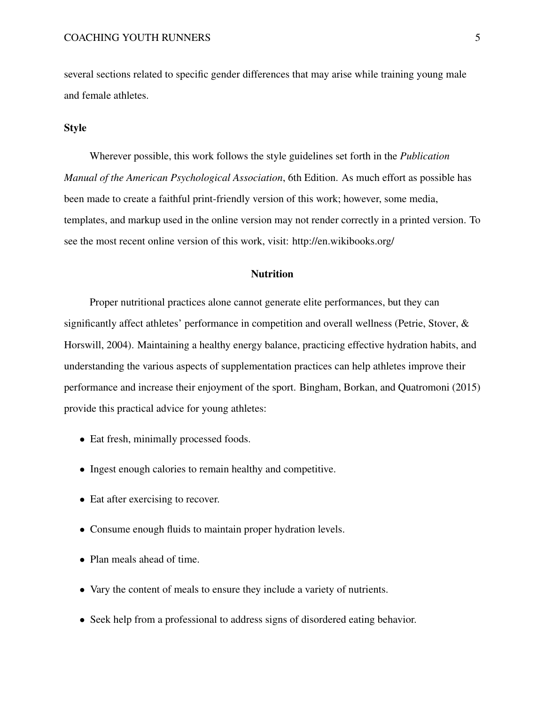several sections related to specific gender differences that may arise while training young male and female athletes.

## Style

Wherever possible, this work follows the style guidelines set forth in the *Publication Manual of the American Psychological Association*, 6th Edition. As much effort as possible has been made to create a faithful print-friendly version of this work; however, some media, templates, and markup used in the online version may not render correctly in a printed version. To see the most recent online version of this work, visit:<http://en.wikibooks.org/>

# **Nutrition**

Proper nutritional practices alone cannot generate elite performances, but they can significantly affect athletes' performance in competition and overall wellness (Petrie, Stover, & Horswill, [2004\)](#page-35-0). Maintaining a healthy energy balance, practicing effective hydration habits, and understanding the various aspects of supplementation practices can help athletes improve their performance and increase their enjoyment of the sport. Bingham, Borkan, and Quatromoni [\(2015\)](#page-22-1) provide this practical advice for young athletes:

- Eat fresh, minimally processed foods.
- Ingest enough calories to remain healthy and competitive.
- Eat after exercising to recover.
- Consume enough fluids to maintain proper hydration levels.
- Plan meals ahead of time.
- Vary the content of meals to ensure they include a variety of nutrients.
- Seek help from a professional to address signs of disordered eating behavior.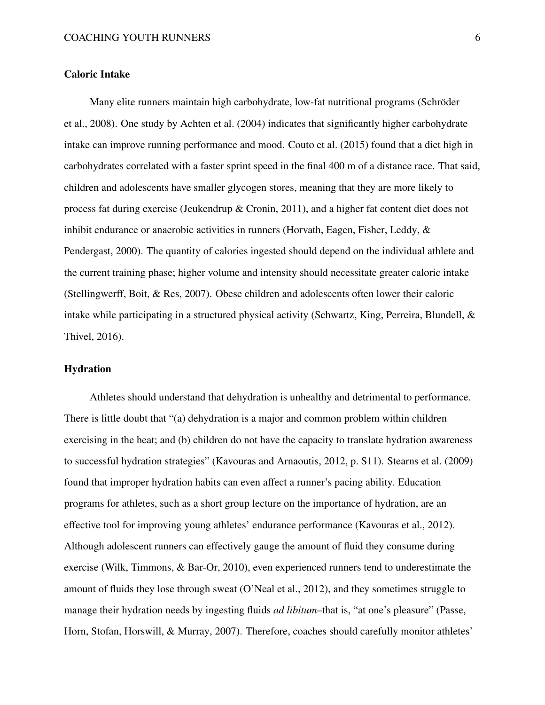## Caloric Intake

Many elite runners maintain high carbohydrate, low-fat nutritional programs (Schröder et al., [2008\)](#page-37-1). One study by Achten et al. [\(2004\)](#page-21-1) indicates that significantly higher carbohydrate intake can improve running performance and mood. Couto et al. [\(2015\)](#page-24-0) found that a diet high in carbohydrates correlated with a faster sprint speed in the final 400 m of a distance race. That said, children and adolescents have smaller glycogen stores, meaning that they are more likely to process fat during exercise (Jeukendrup & Cronin, [2011\)](#page-30-2), and a higher fat content diet does not inhibit endurance or anaerobic activities in runners (Horvath, Eagen, Fisher, Leddy, & Pendergast, [2000\)](#page-29-0). The quantity of calories ingested should depend on the individual athlete and the current training phase; higher volume and intensity should necessitate greater caloric intake (Stellingwerff, Boit, & Res, [2007\)](#page-39-0). Obese children and adolescents often lower their caloric intake while participating in a structured physical activity (Schwartz, King, Perreira, Blundell, & Thivel, [2016\)](#page-38-0).

# Hydration

Athletes should understand that dehydration is unhealthy and detrimental to performance. There is little doubt that "(a) dehydration is a major and common problem within children exercising in the heat; and (b) children do not have the capacity to translate hydration awareness to successful hydration strategies" (Kavouras and Arnaoutis, [2012,](#page-31-1) p. S11). Stearns et al. [\(2009\)](#page-39-1) found that improper hydration habits can even affect a runner's pacing ability. Education programs for athletes, such as a short group lecture on the importance of hydration, are an effective tool for improving young athletes' endurance performance (Kavouras et al., [2012\)](#page-31-2). Although adolescent runners can effectively gauge the amount of fluid they consume during exercise (Wilk, Timmons, & Bar-Or, [2010\)](#page-41-2), even experienced runners tend to underestimate the amount of fluids they lose through sweat (O'Neal et al., [2012\)](#page-35-1), and they sometimes struggle to manage their hydration needs by ingesting fluids *ad libitum*–that is, "at one's pleasure" (Passe, Horn, Stofan, Horswill, & Murray, [2007\)](#page-35-2). Therefore, coaches should carefully monitor athletes'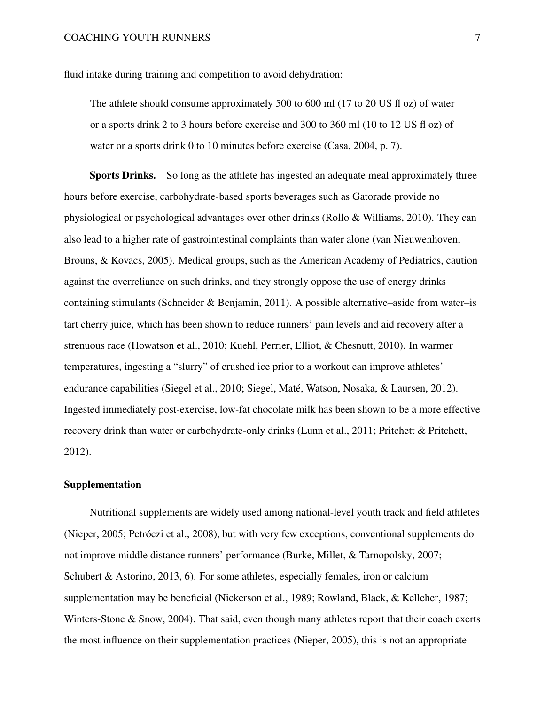fluid intake during training and competition to avoid dehydration:

The athlete should consume approximately 500 to 600 ml (17 to 20 US fl oz) of water or a sports drink 2 to 3 hours before exercise and 300 to 360 ml (10 to 12 US fl oz) of water or a sports drink 0 to 10 minutes before exercise (Casa, [2004,](#page-23-1) p. 7).

Sports Drinks. So long as the athlete has ingested an adequate meal approximately three hours before exercise, carbohydrate-based sports beverages such as Gatorade provide no physiological or psychological advantages over other drinks (Rollo & Williams, [2010\)](#page-37-2). They can also lead to a higher rate of gastrointestinal complaints than water alone (van Nieuwenhoven, Brouns, & Kovacs, [2005\)](#page-40-0). Medical groups, such as the American Academy of Pediatrics, caution against the overreliance on such drinks, and they strongly oppose the use of energy drinks containing stimulants (Schneider & Benjamin, [2011\)](#page-37-3). A possible alternative–aside from water–is tart cherry juice, which has been shown to reduce runners' pain levels and aid recovery after a strenuous race (Howatson et al., [2010;](#page-29-1) Kuehl, Perrier, Elliot, & Chesnutt, [2010\)](#page-32-0). In warmer temperatures, ingesting a "slurry" of crushed ice prior to a workout can improve athletes' endurance capabilities (Siegel et al., [2010;](#page-38-1) Siegel, Maté, Watson, Nosaka, & Laursen, [2012\)](#page-38-2). Ingested immediately post-exercise, low-fat chocolate milk has been shown to be a more effective recovery drink than water or carbohydrate-only drinks (Lunn et al., [2011;](#page-33-2) Pritchett & Pritchett, [2012\)](#page-36-1).

# Supplementation

Nutritional supplements are widely used among national-level youth track and field athletes (Nieper, [2005;](#page-35-3) Petróczi et al., [2008\)](#page-36-2), but with very few exceptions, conventional supplements do not improve middle distance runners' performance (Burke, Millet, & Tarnopolsky, [2007;](#page-23-2) Schubert & Astorino, [2013,](#page-38-3) 6). For some athletes, especially females, iron or calcium supplementation may be beneficial (Nickerson et al., [1989;](#page-34-0) Rowland, Black, & Kelleher, [1987;](#page-37-4) Winters-Stone & Snow, [2004\)](#page-41-3). That said, even though many athletes report that their coach exerts the most influence on their supplementation practices (Nieper, [2005\)](#page-35-3), this is not an appropriate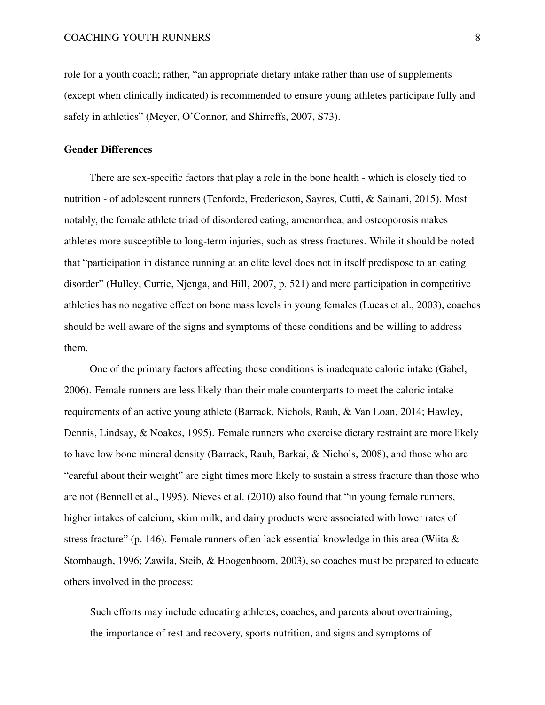role for a youth coach; rather, "an appropriate dietary intake rather than use of supplements (except when clinically indicated) is recommended to ensure young athletes participate fully and safely in athletics" (Meyer, O'Connor, and Shirreffs, [2007,](#page-33-3) S73).

#### Gender Differences

There are sex-specific factors that play a role in the bone health - which is closely tied to nutrition - of adolescent runners (Tenforde, Fredericson, Sayres, Cutti, & Sainani, [2015\)](#page-39-2). Most notably, the female athlete triad of disordered eating, amenorrhea, and osteoporosis makes athletes more susceptible to long-term injuries, such as stress fractures. While it should be noted that "participation in distance running at an elite level does not in itself predispose to an eating disorder" (Hulley, Currie, Njenga, and Hill, [2007,](#page-29-2) p. 521) and mere participation in competitive athletics has no negative effect on bone mass levels in young females (Lucas et al., [2003\)](#page-33-4), coaches should be well aware of the signs and symptoms of these conditions and be willing to address them.

One of the primary factors affecting these conditions is inadequate caloric intake (Gabel, [2006\)](#page-27-0). Female runners are less likely than their male counterparts to meet the caloric intake requirements of an active young athlete (Barrack, Nichols, Rauh, & Van Loan, [2014;](#page-22-2) Hawley, Dennis, Lindsay, & Noakes, [1995\)](#page-28-1). Female runners who exercise dietary restraint are more likely to have low bone mineral density (Barrack, Rauh, Barkai, & Nichols, [2008\)](#page-22-3), and those who are "careful about their weight" are eight times more likely to sustain a stress fracture than those who are not (Bennell et al., [1995\)](#page-22-4). Nieves et al. [\(2010\)](#page-35-4) also found that "in young female runners, higher intakes of calcium, skim milk, and dairy products were associated with lower rates of stress fracture" (p. 146). Female runners often lack essential knowledge in this area (Wiita  $\&$ Stombaugh, [1996;](#page-41-4) Zawila, Steib, & Hoogenboom, [2003\)](#page-42-0), so coaches must be prepared to educate others involved in the process:

Such efforts may include educating athletes, coaches, and parents about overtraining, the importance of rest and recovery, sports nutrition, and signs and symptoms of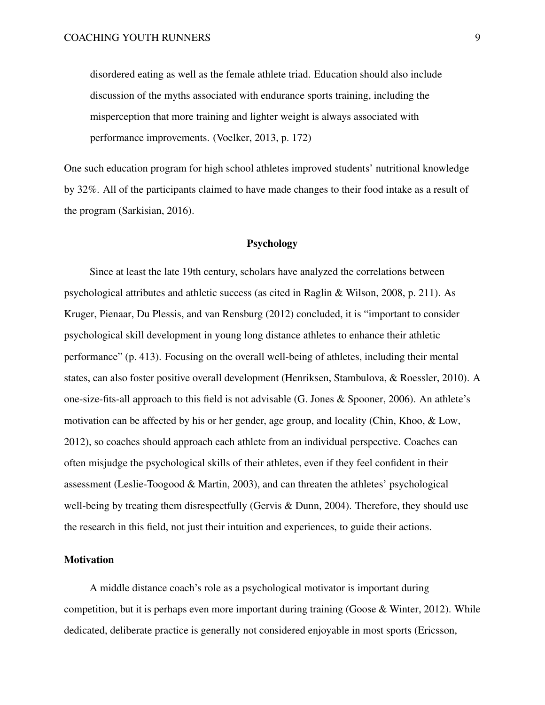disordered eating as well as the female athlete triad. Education should also include discussion of the myths associated with endurance sports training, including the misperception that more training and lighter weight is always associated with performance improvements. (Voelker, [2013,](#page-40-1) p. 172)

One such education program for high school athletes improved students' nutritional knowledge by 32%. All of the participants claimed to have made changes to their food intake as a result of the program (Sarkisian, [2016\)](#page-37-5).

#### Psychology

Since at least the late 19th century, scholars have analyzed the correlations between psychological attributes and athletic success (as cited in Raglin & Wilson, [2008,](#page-36-3) p. 211). As Kruger, Pienaar, Du Plessis, and van Rensburg [\(2012\)](#page-31-3) concluded, it is "important to consider psychological skill development in young long distance athletes to enhance their athletic performance" (p. 413). Focusing on the overall well-being of athletes, including their mental states, can also foster positive overall development (Henriksen, Stambulova, & Roessler, [2010\)](#page-28-2). A one-size-fits-all approach to this field is not advisable (G. Jones & Spooner, [2006\)](#page-30-3). An athlete's motivation can be affected by his or her gender, age group, and locality (Chin, Khoo, & Low, [2012\)](#page-24-1), so coaches should approach each athlete from an individual perspective. Coaches can often misjudge the psychological skills of their athletes, even if they feel confident in their assessment (Leslie-Toogood & Martin, [2003\)](#page-32-1), and can threaten the athletes' psychological well-being by treating them disrespectfully (Gervis & Dunn, [2004\)](#page-27-1). Therefore, they should use the research in this field, not just their intuition and experiences, to guide their actions.

#### **Motivation**

A middle distance coach's role as a psychological motivator is important during competition, but it is perhaps even more important during training (Goose & Winter, [2012\)](#page-27-2). While dedicated, deliberate practice is generally not considered enjoyable in most sports (Ericsson,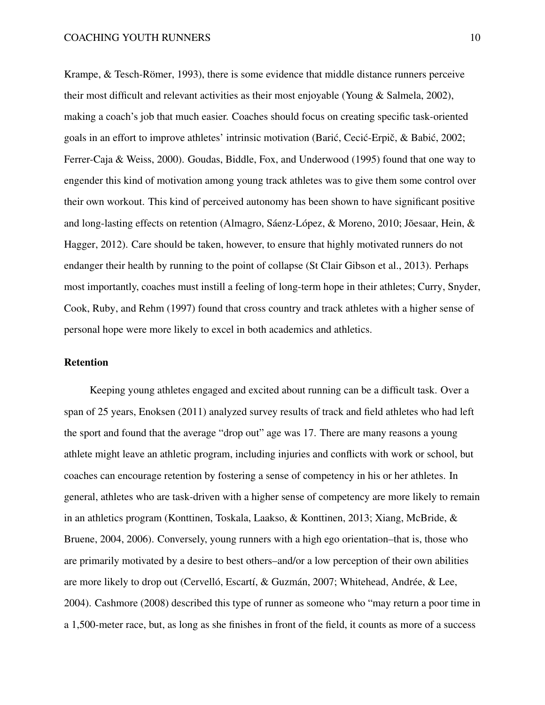Krampe, & Tesch-Römer, [1993\)](#page-26-0), there is some evidence that middle distance runners perceive their most difficult and relevant activities as their most enjoyable (Young & Salmela, [2002\)](#page-42-1), making a coach's job that much easier. Coaches should focus on creating specific task-oriented goals in an effort to improve athletes' intrinsic motivation (Barić, Cecić-Erpič, & Babić, [2002;](#page-22-5) Ferrer-Caja & Weiss, [2000\)](#page-26-1). Goudas, Biddle, Fox, and Underwood [\(1995\)](#page-27-3) found that one way to engender this kind of motivation among young track athletes was to give them some control over their own workout. This kind of perceived autonomy has been shown to have significant positive and long-lasting effects on retention (Almagro, Sáenz-López, & Moreno, [2010;](#page-21-2) Jõesaar, Hein, & Hagger, [2012\)](#page-30-4). Care should be taken, however, to ensure that highly motivated runners do not endanger their health by running to the point of collapse (St Clair Gibson et al., [2013\)](#page-39-3). Perhaps most importantly, coaches must instill a feeling of long-term hope in their athletes; Curry, Snyder, Cook, Ruby, and Rehm [\(1997\)](#page-24-2) found that cross country and track athletes with a higher sense of personal hope were more likely to excel in both academics and athletics.

# Retention

Keeping young athletes engaged and excited about running can be a difficult task. Over a span of 25 years, Enoksen [\(2011\)](#page-25-1) analyzed survey results of track and field athletes who had left the sport and found that the average "drop out" age was 17. There are many reasons a young athlete might leave an athletic program, including injuries and conflicts with work or school, but coaches can encourage retention by fostering a sense of competency in his or her athletes. In general, athletes who are task-driven with a higher sense of competency are more likely to remain in an athletics program (Konttinen, Toskala, Laakso, & Konttinen, [2013;](#page-31-4) Xiang, McBride, & Bruene, [2004,](#page-41-5) [2006\)](#page-42-2). Conversely, young runners with a high ego orientation–that is, those who are primarily motivated by a desire to best others–and/or a low perception of their own abilities are more likely to drop out (Cervelló, Escartí, & Guzmán, [2007;](#page-23-3) Whitehead, Andrée, & Lee, [2004\)](#page-40-2). Cashmore [\(2008\)](#page-23-4) described this type of runner as someone who "may return a poor time in a 1,500-meter race, but, as long as she finishes in front of the field, it counts as more of a success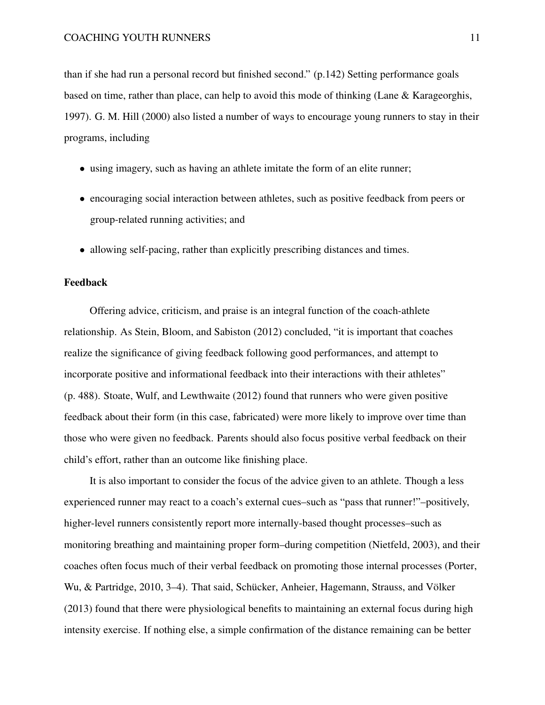than if she had run a personal record but finished second." (p.142) Setting performance goals based on time, rather than place, can help to avoid this mode of thinking (Lane & Karageorghis, [1997\)](#page-32-2). G. M. Hill [\(2000\)](#page-28-3) also listed a number of ways to encourage young runners to stay in their programs, including

- using imagery, such as having an athlete imitate the form of an elite runner;
- encouraging social interaction between athletes, such as positive feedback from peers or group-related running activities; and
- allowing self-pacing, rather than explicitly prescribing distances and times.

#### Feedback

Offering advice, criticism, and praise is an integral function of the coach-athlete relationship. As Stein, Bloom, and Sabiston [\(2012\)](#page-39-4) concluded, "it is important that coaches realize the significance of giving feedback following good performances, and attempt to incorporate positive and informational feedback into their interactions with their athletes" (p. 488). Stoate, Wulf, and Lewthwaite [\(2012\)](#page-39-5) found that runners who were given positive feedback about their form (in this case, fabricated) were more likely to improve over time than those who were given no feedback. Parents should also focus positive verbal feedback on their child's effort, rather than an outcome like finishing place.

It is also important to consider the focus of the advice given to an athlete. Though a less experienced runner may react to a coach's external cues–such as "pass that runner!"–positively, higher-level runners consistently report more internally-based thought processes–such as monitoring breathing and maintaining proper form–during competition (Nietfeld, [2003\)](#page-35-5), and their coaches often focus much of their verbal feedback on promoting those internal processes (Porter, Wu, & Partridge, [2010,](#page-36-4) 3–4). That said, Schücker, Anheier, Hagemann, Strauss, and Völker [\(2013\)](#page-38-4) found that there were physiological benefits to maintaining an external focus during high intensity exercise. If nothing else, a simple confirmation of the distance remaining can be better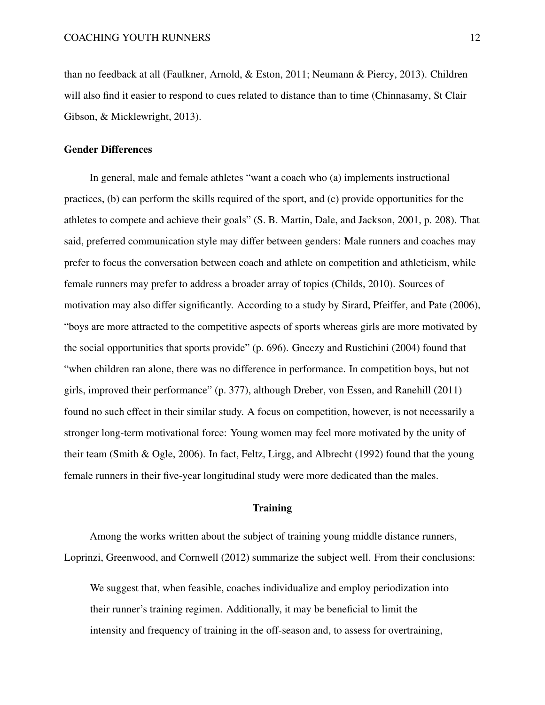than no feedback at all (Faulkner, Arnold, & Eston, [2011;](#page-26-2) Neumann & Piercy, [2013\)](#page-34-1). Children will also find it easier to respond to cues related to distance than to time (Chinnasamy, St Clair Gibson, & Micklewright, [2013\)](#page-24-3).

## Gender Differences

In general, male and female athletes "want a coach who (a) implements instructional practices, (b) can perform the skills required of the sport, and (c) provide opportunities for the athletes to compete and achieve their goals" (S. B. Martin, Dale, and Jackson, [2001,](#page-33-5) p. 208). That said, preferred communication style may differ between genders: Male runners and coaches may prefer to focus the conversation between coach and athlete on competition and athleticism, while female runners may prefer to address a broader array of topics (Childs, [2010\)](#page-24-4). Sources of motivation may also differ significantly. According to a study by Sirard, Pfeiffer, and Pate [\(2006\)](#page-38-5), "boys are more attracted to the competitive aspects of sports whereas girls are more motivated by the social opportunities that sports provide" (p. 696). Gneezy and Rustichini [\(2004\)](#page-27-4) found that "when children ran alone, there was no difference in performance. In competition boys, but not girls, improved their performance" (p. 377), although Dreber, von Essen, and Ranehill [\(2011\)](#page-25-2) found no such effect in their similar study. A focus on competition, however, is not necessarily a stronger long-term motivational force: Young women may feel more motivated by the unity of their team (Smith & Ogle, [2006\)](#page-39-6). In fact, Feltz, Lirgg, and Albrecht [\(1992\)](#page-26-3) found that the young female runners in their five-year longitudinal study were more dedicated than the males.

## **Training**

Among the works written about the subject of training young middle distance runners, Loprinzi, Greenwood, and Cornwell [\(2012\)](#page-33-6) summarize the subject well. From their conclusions:

We suggest that, when feasible, coaches individualize and employ periodization into their runner's training regimen. Additionally, it may be beneficial to limit the intensity and frequency of training in the off-season and, to assess for overtraining,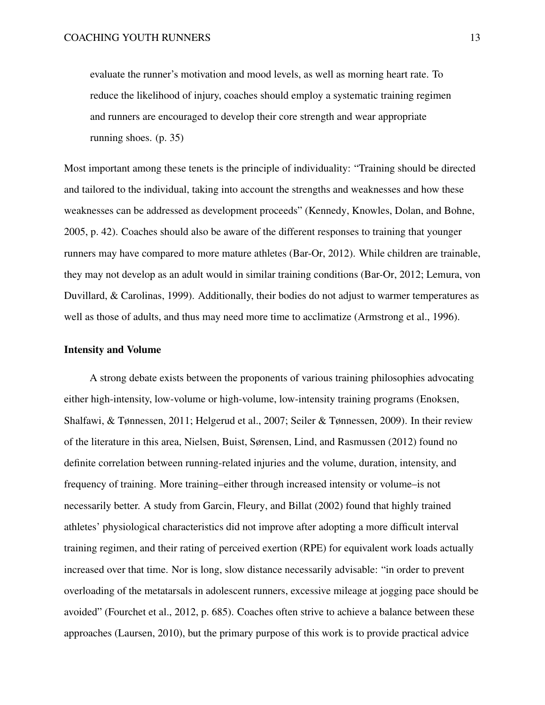evaluate the runner's motivation and mood levels, as well as morning heart rate. To reduce the likelihood of injury, coaches should employ a systematic training regimen and runners are encouraged to develop their core strength and wear appropriate running shoes. (p. 35)

Most important among these tenets is the principle of individuality: "Training should be directed and tailored to the individual, taking into account the strengths and weaknesses and how these weaknesses can be addressed as development proceeds" (Kennedy, Knowles, Dolan, and Bohne, [2005,](#page-31-5) p. 42). Coaches should also be aware of the different responses to training that younger runners may have compared to more mature athletes (Bar-Or, [2012\)](#page-22-6). While children are trainable, they may not develop as an adult would in similar training conditions (Bar-Or, [2012;](#page-22-6) Lemura, von Duvillard, & Carolinas, [1999\)](#page-32-3). Additionally, their bodies do not adjust to warmer temperatures as well as those of adults, and thus may need more time to acclimatize (Armstrong et al., [1996\)](#page-21-3).

#### Intensity and Volume

A strong debate exists between the proponents of various training philosophies advocating either high-intensity, low-volume or high-volume, low-intensity training programs (Enoksen, Shalfawi, & Tønnessen, [2011;](#page-25-3) Helgerud et al., [2007;](#page-28-4) Seiler & Tønnessen, [2009\)](#page-38-6). In their review of the literature in this area, Nielsen, Buist, Sørensen, Lind, and Rasmussen [\(2012\)](#page-35-6) found no definite correlation between running-related injuries and the volume, duration, intensity, and frequency of training. More training–either through increased intensity or volume–is not necessarily better. A study from Garcin, Fleury, and Billat [\(2002\)](#page-27-5) found that highly trained athletes' physiological characteristics did not improve after adopting a more difficult interval training regimen, and their rating of perceived exertion (RPE) for equivalent work loads actually increased over that time. Nor is long, slow distance necessarily advisable: "in order to prevent overloading of the metatarsals in adolescent runners, excessive mileage at jogging pace should be avoided" (Fourchet et al., [2012,](#page-26-4) p. 685). Coaches often strive to achieve a balance between these approaches (Laursen, [2010\)](#page-32-4), but the primary purpose of this work is to provide practical advice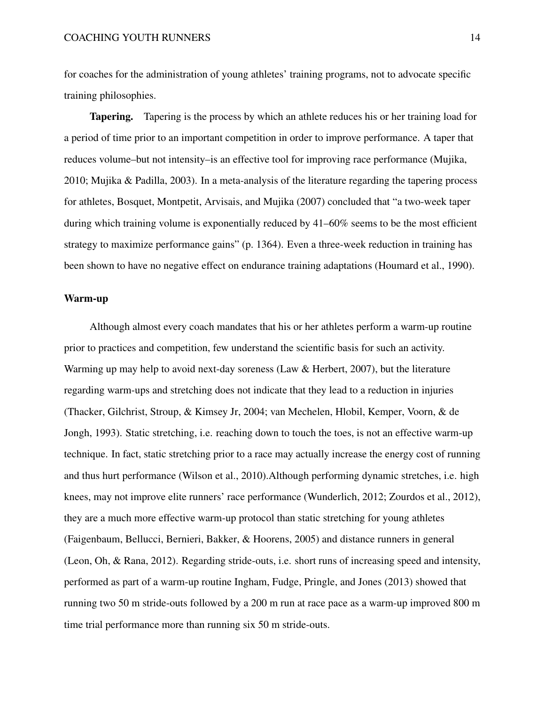for coaches for the administration of young athletes' training programs, not to advocate specific training philosophies.

Tapering. Tapering is the process by which an athlete reduces his or her training load for a period of time prior to an important competition in order to improve performance. A taper that reduces volume–but not intensity–is an effective tool for improving race performance (Mujika, [2010;](#page-34-2) Mujika & Padilla, [2003\)](#page-34-3). In a meta-analysis of the literature regarding the tapering process for athletes, Bosquet, Montpetit, Arvisais, and Mujika [\(2007\)](#page-23-5) concluded that "a two-week taper during which training volume is exponentially reduced by 41–60% seems to be the most efficient strategy to maximize performance gains" (p. 1364). Even a three-week reduction in training has been shown to have no negative effect on endurance training adaptations (Houmard et al., [1990\)](#page-29-3).

## Warm-up

Although almost every coach mandates that his or her athletes perform a warm-up routine prior to practices and competition, few understand the scientific basis for such an activity. Warming up may help to avoid next-day soreness (Law & Herbert, [2007\)](#page-32-5), but the literature regarding warm-ups and stretching does not indicate that they lead to a reduction in injuries (Thacker, Gilchrist, Stroup, & Kimsey Jr, [2004;](#page-40-3) van Mechelen, Hlobil, Kemper, Voorn, & de Jongh, [1993\)](#page-40-4). Static stretching, i.e. reaching down to touch the toes, is not an effective warm-up technique. In fact, static stretching prior to a race may actually increase the energy cost of running and thus hurt performance (Wilson et al., [2010\)](#page-41-6).Although performing dynamic stretches, i.e. high knees, may not improve elite runners' race performance (Wunderlich, [2012;](#page-41-7) Zourdos et al., [2012\)](#page-42-3), they are a much more effective warm-up protocol than static stretching for young athletes (Faigenbaum, Bellucci, Bernieri, Bakker, & Hoorens, [2005\)](#page-26-5) and distance runners in general (Leon, Oh, & Rana, [2012\)](#page-32-6). Regarding stride-outs, i.e. short runs of increasing speed and intensity, performed as part of a warm-up routine Ingham, Fudge, Pringle, and Jones [\(2013\)](#page-30-5) showed that running two 50 m stride-outs followed by a 200 m run at race pace as a warm-up improved 800 m time trial performance more than running six 50 m stride-outs.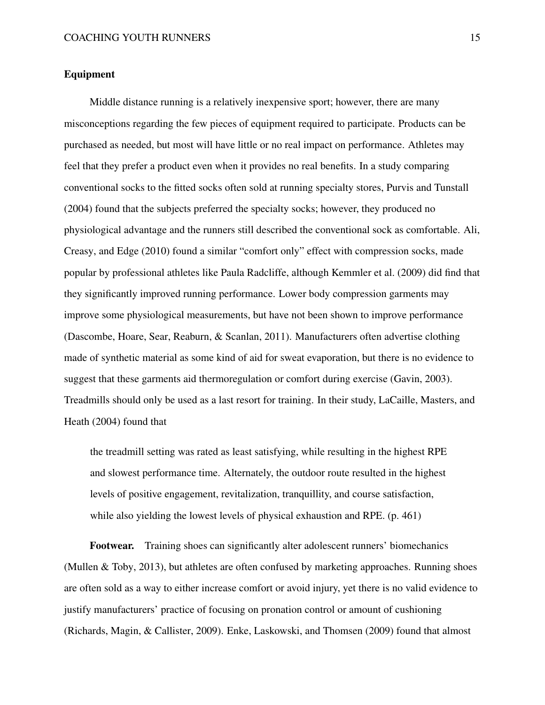## Equipment

Middle distance running is a relatively inexpensive sport; however, there are many misconceptions regarding the few pieces of equipment required to participate. Products can be purchased as needed, but most will have little or no real impact on performance. Athletes may feel that they prefer a product even when it provides no real benefits. In a study comparing conventional socks to the fitted socks often sold at running specialty stores, Purvis and Tunstall [\(2004\)](#page-36-5) found that the subjects preferred the specialty socks; however, they produced no physiological advantage and the runners still described the conventional sock as comfortable. Ali, Creasy, and Edge [\(2010\)](#page-21-4) found a similar "comfort only" effect with compression socks, made popular by professional athletes like Paula Radcliffe, although Kemmler et al. [\(2009\)](#page-31-6) did find that they significantly improved running performance. Lower body compression garments may improve some physiological measurements, but have not been shown to improve performance (Dascombe, Hoare, Sear, Reaburn, & Scanlan, [2011\)](#page-25-4). Manufacturers often advertise clothing made of synthetic material as some kind of aid for sweat evaporation, but there is no evidence to suggest that these garments aid thermoregulation or comfort during exercise (Gavin, [2003\)](#page-27-6). Treadmills should only be used as a last resort for training. In their study, LaCaille, Masters, and Heath [\(2004\)](#page-32-7) found that

the treadmill setting was rated as least satisfying, while resulting in the highest RPE and slowest performance time. Alternately, the outdoor route resulted in the highest levels of positive engagement, revitalization, tranquillity, and course satisfaction, while also yielding the lowest levels of physical exhaustion and RPE. (p. 461)

Footwear. Training shoes can significantly alter adolescent runners' biomechanics (Mullen & Toby, [2013\)](#page-34-4), but athletes are often confused by marketing approaches. Running shoes are often sold as a way to either increase comfort or avoid injury, yet there is no valid evidence to justify manufacturers' practice of focusing on pronation control or amount of cushioning (Richards, Magin, & Callister, [2009\)](#page-37-6). Enke, Laskowski, and Thomsen [\(2009\)](#page-25-5) found that almost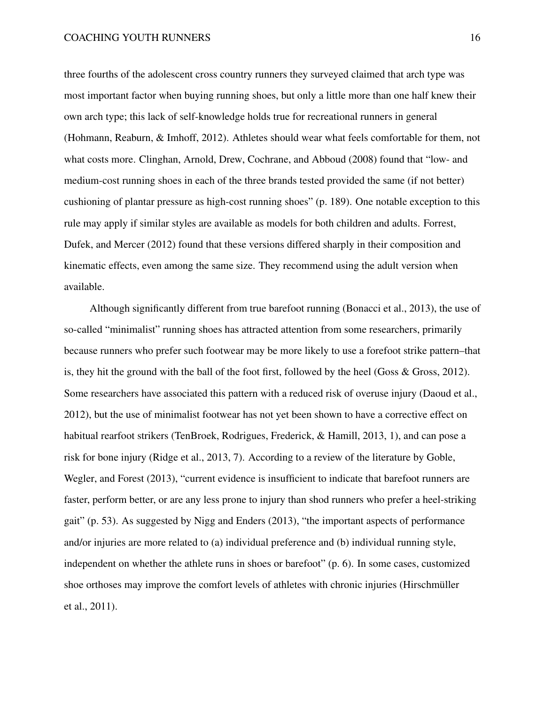three fourths of the adolescent cross country runners they surveyed claimed that arch type was most important factor when buying running shoes, but only a little more than one half knew their own arch type; this lack of self-knowledge holds true for recreational runners in general (Hohmann, Reaburn, & Imhoff, [2012\)](#page-29-4). Athletes should wear what feels comfortable for them, not what costs more. Clinghan, Arnold, Drew, Cochrane, and Abboud [\(2008\)](#page-24-5) found that "low- and medium-cost running shoes in each of the three brands tested provided the same (if not better) cushioning of plantar pressure as high-cost running shoes" (p. 189). One notable exception to this rule may apply if similar styles are available as models for both children and adults. Forrest, Dufek, and Mercer [\(2012\)](#page-26-6) found that these versions differed sharply in their composition and kinematic effects, even among the same size. They recommend using the adult version when available.

Although significantly different from true barefoot running (Bonacci et al., [2013\)](#page-23-6), the use of so-called "minimalist" running shoes has attracted attention from some researchers, primarily because runners who prefer such footwear may be more likely to use a forefoot strike pattern–that is, they hit the ground with the ball of the foot first, followed by the heel (Goss & Gross, [2012\)](#page-27-7). Some researchers have associated this pattern with a reduced risk of overuse injury (Daoud et al., [2012\)](#page-24-6), but the use of minimalist footwear has not yet been shown to have a corrective effect on habitual rearfoot strikers (TenBroek, Rodrigues, Frederick, & Hamill, [2013,](#page-39-7) 1), and can pose a risk for bone injury (Ridge et al., [2013,](#page-37-7) 7). According to a review of the literature by Goble, Wegler, and Forest [\(2013\)](#page-27-8), "current evidence is insufficient to indicate that barefoot runners are faster, perform better, or are any less prone to injury than shod runners who prefer a heel-striking gait" (p. 53). As suggested by Nigg and Enders [\(2013\)](#page-35-7), "the important aspects of performance and/or injuries are more related to (a) individual preference and (b) individual running style, independent on whether the athlete runs in shoes or barefoot" (p. 6). In some cases, customized shoe orthoses may improve the comfort levels of athletes with chronic injuries (Hirschmüller et al., [2011\)](#page-29-5).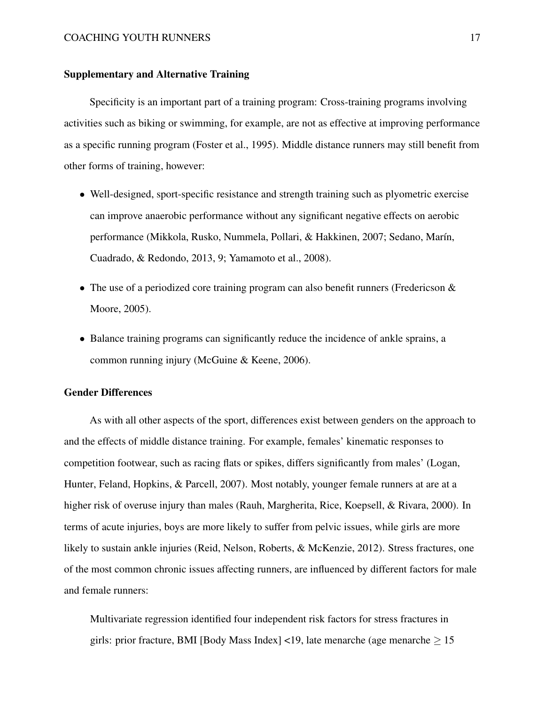## Supplementary and Alternative Training

Specificity is an important part of a training program: Cross-training programs involving activities such as biking or swimming, for example, are not as effective at improving performance as a specific running program (Foster et al., [1995\)](#page-26-7). Middle distance runners may still benefit from other forms of training, however:

- Well-designed, sport-specific resistance and strength training such as plyometric exercise can improve anaerobic performance without any significant negative effects on aerobic performance (Mikkola, Rusko, Nummela, Pollari, & Hakkinen, [2007;](#page-34-5) Sedano, Marín, Cuadrado, & Redondo, [2013,](#page-38-7) 9; Yamamoto et al., [2008\)](#page-42-4).
- The use of a periodized core training program can also benefit runners (Fredericson & Moore, [2005\)](#page-26-8).
- Balance training programs can significantly reduce the incidence of ankle sprains, a common running injury (McGuine & Keene, [2006\)](#page-33-7).

## Gender Differences

As with all other aspects of the sport, differences exist between genders on the approach to and the effects of middle distance training. For example, females' kinematic responses to competition footwear, such as racing flats or spikes, differs significantly from males' (Logan, Hunter, Feland, Hopkins, & Parcell, [2007\)](#page-32-8). Most notably, younger female runners at are at a higher risk of overuse injury than males (Rauh, Margherita, Rice, Koepsell, & Rivara, [2000\)](#page-36-6). In terms of acute injuries, boys are more likely to suffer from pelvic issues, while girls are more likely to sustain ankle injuries (Reid, Nelson, Roberts, & McKenzie, [2012\)](#page-37-8). Stress fractures, one of the most common chronic issues affecting runners, are influenced by different factors for male and female runners:

Multivariate regression identified four independent risk factors for stress fractures in girls: prior fracture, BMI [Body Mass Index] <19, late menarche (age menarche  $> 15$ )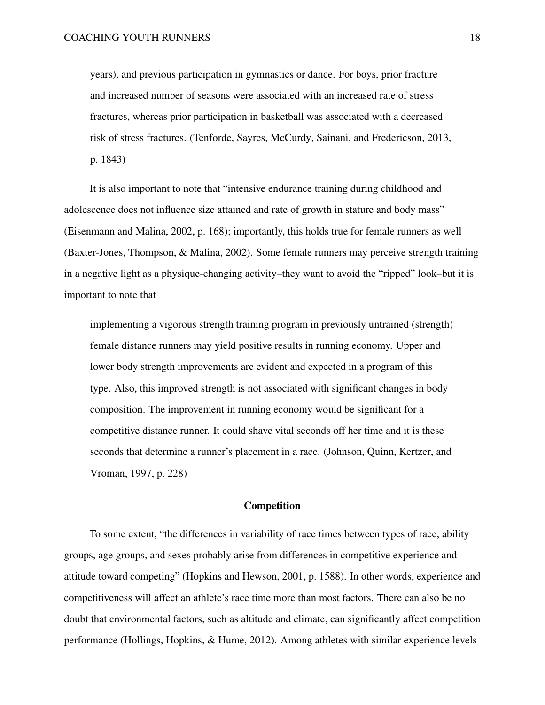years), and previous participation in gymnastics or dance. For boys, prior fracture and increased number of seasons were associated with an increased rate of stress fractures, whereas prior participation in basketball was associated with a decreased risk of stress fractures. (Tenforde, Sayres, McCurdy, Sainani, and Fredericson, [2013,](#page-40-5) p. 1843)

It is also important to note that "intensive endurance training during childhood and adolescence does not influence size attained and rate of growth in stature and body mass" (Eisenmann and Malina, [2002,](#page-25-6) p. 168); importantly, this holds true for female runners as well (Baxter-Jones, Thompson, & Malina, [2002\)](#page-22-7). Some female runners may perceive strength training in a negative light as a physique-changing activity–they want to avoid the "ripped" look–but it is important to note that

implementing a vigorous strength training program in previously untrained (strength) female distance runners may yield positive results in running economy. Upper and lower body strength improvements are evident and expected in a program of this type. Also, this improved strength is not associated with significant changes in body composition. The improvement in running economy would be significant for a competitive distance runner. It could shave vital seconds off her time and it is these seconds that determine a runner's placement in a race. (Johnson, Quinn, Kertzer, and Vroman, [1997,](#page-30-6) p. 228)

## Competition

To some extent, "the differences in variability of race times between types of race, ability groups, age groups, and sexes probably arise from differences in competitive experience and attitude toward competing" (Hopkins and Hewson, [2001,](#page-29-6) p. 1588). In other words, experience and competitiveness will affect an athlete's race time more than most factors. There can also be no doubt that environmental factors, such as altitude and climate, can significantly affect competition performance (Hollings, Hopkins, & Hume, [2012\)](#page-29-7). Among athletes with similar experience levels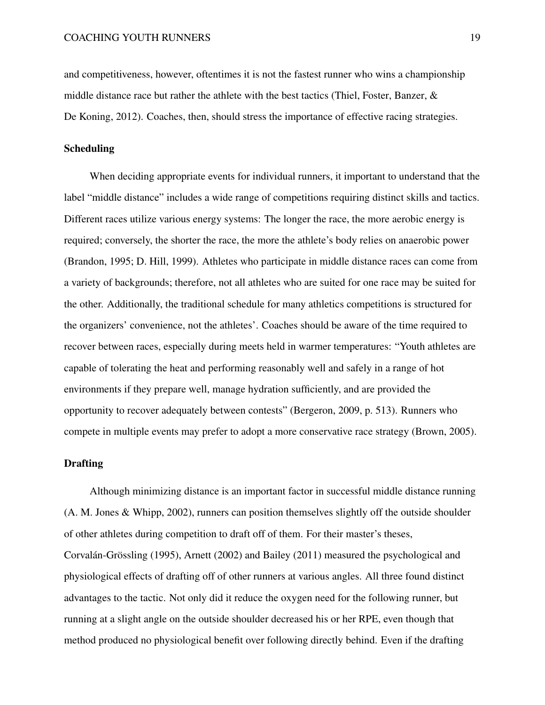and competitiveness, however, oftentimes it is not the fastest runner who wins a championship middle distance race but rather the athlete with the best tactics (Thiel, Foster, Banzer, & De Koning, [2012\)](#page-40-6). Coaches, then, should stress the importance of effective racing strategies.

## Scheduling

When deciding appropriate events for individual runners, it important to understand that the label "middle distance" includes a wide range of competitions requiring distinct skills and tactics. Different races utilize various energy systems: The longer the race, the more aerobic energy is required; conversely, the shorter the race, the more the athlete's body relies on anaerobic power (Brandon, [1995;](#page-23-7) D. Hill, [1999\)](#page-28-5). Athletes who participate in middle distance races can come from a variety of backgrounds; therefore, not all athletes who are suited for one race may be suited for the other. Additionally, the traditional schedule for many athletics competitions is structured for the organizers' convenience, not the athletes'. Coaches should be aware of the time required to recover between races, especially during meets held in warmer temperatures: "Youth athletes are capable of tolerating the heat and performing reasonably well and safely in a range of hot environments if they prepare well, manage hydration sufficiently, and are provided the opportunity to recover adequately between contests" (Bergeron, [2009,](#page-22-8) p. 513). Runners who compete in multiple events may prefer to adopt a more conservative race strategy (Brown, [2005\)](#page-23-8).

## Drafting

Although minimizing distance is an important factor in successful middle distance running (A. M. Jones & Whipp, [2002\)](#page-30-7), runners can position themselves slightly off the outside shoulder of other athletes during competition to draft off of them. For their master's theses, Corvalán-Grössling [\(1995\)](#page-24-7), Arnett [\(2002\)](#page-21-5) and Bailey [\(2011\)](#page-21-6) measured the psychological and physiological effects of drafting off of other runners at various angles. All three found distinct advantages to the tactic. Not only did it reduce the oxygen need for the following runner, but running at a slight angle on the outside shoulder decreased his or her RPE, even though that method produced no physiological benefit over following directly behind. Even if the drafting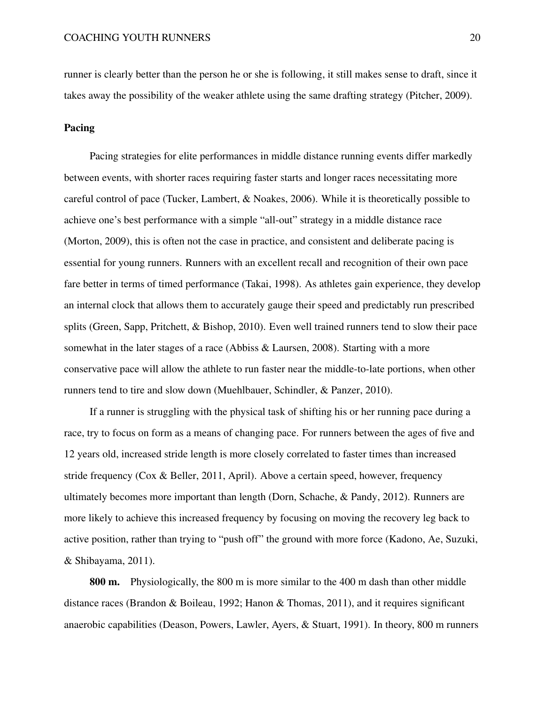runner is clearly better than the person he or she is following, it still makes sense to draft, since it takes away the possibility of the weaker athlete using the same drafting strategy (Pitcher, [2009\)](#page-36-7).

## Pacing

Pacing strategies for elite performances in middle distance running events differ markedly between events, with shorter races requiring faster starts and longer races necessitating more careful control of pace (Tucker, Lambert, & Noakes, [2006\)](#page-40-7). While it is theoretically possible to achieve one's best performance with a simple "all-out" strategy in a middle distance race (Morton, [2009\)](#page-34-6), this is often not the case in practice, and consistent and deliberate pacing is essential for young runners. Runners with an excellent recall and recognition of their own pace fare better in terms of timed performance (Takai, [1998\)](#page-39-8). As athletes gain experience, they develop an internal clock that allows them to accurately gauge their speed and predictably run prescribed splits (Green, Sapp, Pritchett, & Bishop, [2010\)](#page-28-6). Even well trained runners tend to slow their pace somewhat in the later stages of a race (Abbiss & Laursen, [2008\)](#page-21-7). Starting with a more conservative pace will allow the athlete to run faster near the middle-to-late portions, when other runners tend to tire and slow down (Muehlbauer, Schindler, & Panzer, [2010\)](#page-34-7).

If a runner is struggling with the physical task of shifting his or her running pace during a race, try to focus on form as a means of changing pace. For runners between the ages of five and 12 years old, increased stride length is more closely correlated to faster times than increased stride frequency (Cox & Beller, [2011, April\)](#page-24-8). Above a certain speed, however, frequency ultimately becomes more important than length (Dorn, Schache, & Pandy, [2012\)](#page-25-7). Runners are more likely to achieve this increased frequency by focusing on moving the recovery leg back to active position, rather than trying to "push off" the ground with more force (Kadono, Ae, Suzuki, & Shibayama, [2011\)](#page-31-7).

800 m. Physiologically, the 800 m is more similar to the 400 m dash than other middle distance races (Brandon & Boileau, [1992;](#page-23-9) Hanon & Thomas, [2011\)](#page-28-7), and it requires significant anaerobic capabilities (Deason, Powers, Lawler, Ayers, & Stuart, [1991\)](#page-25-8). In theory, 800 m runners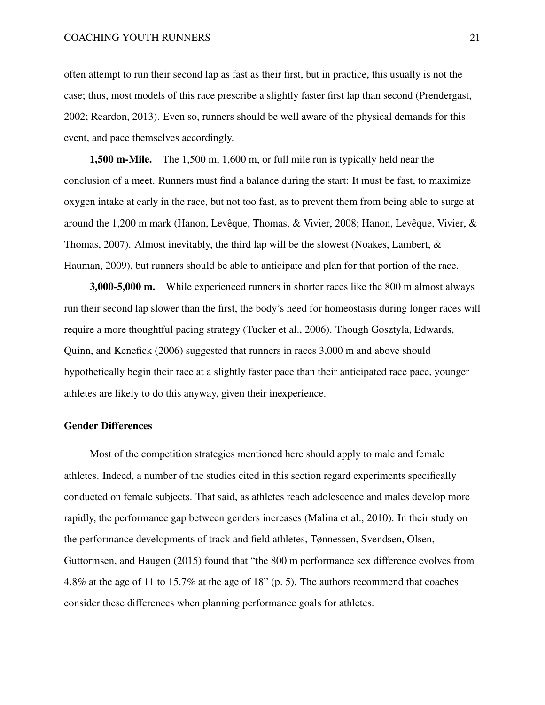often attempt to run their second lap as fast as their first, but in practice, this usually is not the case; thus, most models of this race prescribe a slightly faster first lap than second (Prendergast, [2002;](#page-36-8) Reardon, [2013\)](#page-36-9). Even so, runners should be well aware of the physical demands for this event, and pace themselves accordingly.

1,500 m-Mile. The 1,500 m, 1,600 m, or full mile run is typically held near the conclusion of a meet. Runners must find a balance during the start: It must be fast, to maximize oxygen intake at early in the race, but not too fast, as to prevent them from being able to surge at around the 1,200 m mark (Hanon, Levêque, Thomas, & Vivier, [2008;](#page-28-8) Hanon, Levêque, Vivier, & Thomas, [2007\)](#page-28-9). Almost inevitably, the third lap will be the slowest (Noakes, Lambert, & Hauman, [2009\)](#page-35-8), but runners should be able to anticipate and plan for that portion of the race.

3,000-5,000 m. While experienced runners in shorter races like the 800 m almost always run their second lap slower than the first, the body's need for homeostasis during longer races will require a more thoughtful pacing strategy (Tucker et al., [2006\)](#page-40-7). Though Gosztyla, Edwards, Quinn, and Kenefick [\(2006\)](#page-27-9) suggested that runners in races 3,000 m and above should hypothetically begin their race at a slightly faster pace than their anticipated race pace, younger athletes are likely to do this anyway, given their inexperience.

# Gender Differences

Most of the competition strategies mentioned here should apply to male and female athletes. Indeed, a number of the studies cited in this section regard experiments specifically conducted on female subjects. That said, as athletes reach adolescence and males develop more rapidly, the performance gap between genders increases (Malina et al., [2010\)](#page-33-8). In their study on the performance developments of track and field athletes, Tønnessen, Svendsen, Olsen, Guttormsen, and Haugen [\(2015\)](#page-40-8) found that "the 800 m performance sex difference evolves from 4.8% at the age of 11 to 15.7% at the age of 18" (p. 5). The authors recommend that coaches consider these differences when planning performance goals for athletes.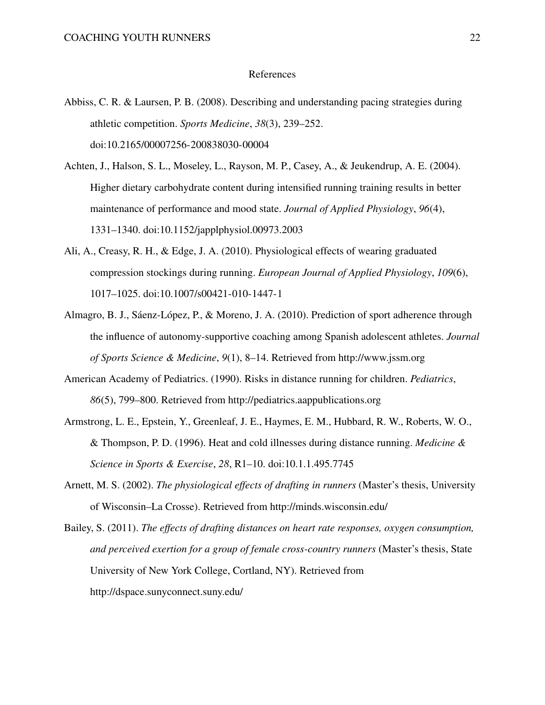#### References

- <span id="page-21-7"></span>Abbiss, C. R. & Laursen, P. B. (2008). Describing and understanding pacing strategies during athletic competition. *Sports Medicine*, *38*(3), 239–252. doi[:10.2165/00007256-200838030-00004](https://dx.doi.org/10.2165/00007256-200838030-00004)
- <span id="page-21-1"></span>Achten, J., Halson, S. L., Moseley, L., Rayson, M. P., Casey, A., & Jeukendrup, A. E. (2004). Higher dietary carbohydrate content during intensified running training results in better maintenance of performance and mood state. *Journal of Applied Physiology*, *96*(4), 1331–1340. doi[:10.1152/japplphysiol.00973.2003](https://dx.doi.org/10.1152/japplphysiol.00973.2003)
- <span id="page-21-4"></span>Ali, A., Creasy, R. H., & Edge, J. A. (2010). Physiological effects of wearing graduated compression stockings during running. *European Journal of Applied Physiology*, *109*(6), 1017–1025. doi[:10.1007/s00421-010-1447-1](https://dx.doi.org/10.1007/s00421-010-1447-1)
- <span id="page-21-2"></span>Almagro, B. J., Sáenz-López, P., & Moreno, J. A. (2010). Prediction of sport adherence through the influence of autonomy-supportive coaching among Spanish adolescent athletes. *Journal of Sports Science & Medicine*, *9*(1), 8–14. Retrieved from<http://www.jssm.org>
- <span id="page-21-0"></span>American Academy of Pediatrics. (1990). Risks in distance running for children. *Pediatrics*, *86*(5), 799–800. Retrieved from<http://pediatrics.aappublications.org>
- <span id="page-21-3"></span>Armstrong, L. E., Epstein, Y., Greenleaf, J. E., Haymes, E. M., Hubbard, R. W., Roberts, W. O., & Thompson, P. D. (1996). Heat and cold illnesses during distance running. *Medicine & Science in Sports & Exercise*, *28*, R1–10. doi[:10.1.1.495.7745](https://dx.doi.org/10.1.1.495.7745)
- <span id="page-21-5"></span>Arnett, M. S. (2002). *The physiological effects of drafting in runners* (Master's thesis, University of Wisconsin–La Crosse). Retrieved from<http://minds.wisconsin.edu/>
- <span id="page-21-6"></span>Bailey, S. (2011). *The effects of drafting distances on heart rate responses, oxygen consumption, and perceived exertion for a group of female cross-country runners* (Master's thesis, State University of New York College, Cortland, NY). Retrieved from <http://dspace.sunyconnect.suny.edu/>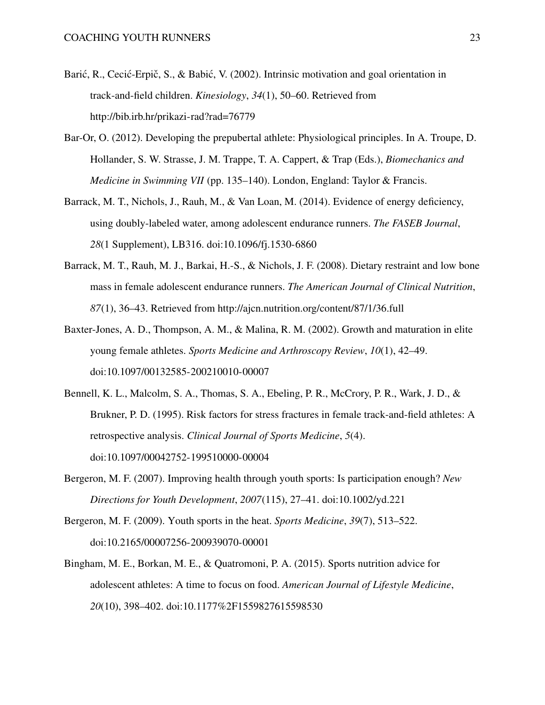- <span id="page-22-5"></span>Barić, R., Cecić-Erpič, S., & Babić, V. (2002). Intrinsic motivation and goal orientation in track-and-field children. *Kinesiology*, *34*(1), 50–60. Retrieved from <http://bib.irb.hr/prikazi-rad?rad=76779>
- <span id="page-22-6"></span>Bar-Or, O. (2012). Developing the prepubertal athlete: Physiological principles. In A. Troupe, D. Hollander, S. W. Strasse, J. M. Trappe, T. A. Cappert, & Trap (Eds.), *Biomechanics and Medicine in Swimming VII* (pp. 135–140). London, England: Taylor & Francis.
- <span id="page-22-2"></span>Barrack, M. T., Nichols, J., Rauh, M., & Van Loan, M. (2014). Evidence of energy deficiency, using doubly-labeled water, among adolescent endurance runners. *The FASEB Journal*, *28*(1 Supplement), LB316. doi[:10.1096/fj.1530-6860](https://dx.doi.org/10.1096/fj.1530-6860)
- <span id="page-22-3"></span>Barrack, M. T., Rauh, M. J., Barkai, H.-S., & Nichols, J. F. (2008). Dietary restraint and low bone mass in female adolescent endurance runners. *The American Journal of Clinical Nutrition*, *87*(1), 36–43. Retrieved from<http://ajcn.nutrition.org/content/87/1/36.full>
- <span id="page-22-7"></span>Baxter-Jones, A. D., Thompson, A. M., & Malina, R. M. (2002). Growth and maturation in elite young female athletes. *Sports Medicine and Arthroscopy Review*, *10*(1), 42–49. doi[:10.1097/00132585-200210010-00007](https://dx.doi.org/10.1097/00132585-200210010-00007)
- <span id="page-22-4"></span>Bennell, K. L., Malcolm, S. A., Thomas, S. A., Ebeling, P. R., McCrory, P. R., Wark, J. D., & Brukner, P. D. (1995). Risk factors for stress fractures in female track-and-field athletes: A retrospective analysis. *Clinical Journal of Sports Medicine*, *5*(4). doi[:10.1097/00042752-199510000-00004](https://dx.doi.org/10.1097/00042752-199510000-00004)
- <span id="page-22-0"></span>Bergeron, M. F. (2007). Improving health through youth sports: Is participation enough? *New Directions for Youth Development*, *2007*(115), 27–41. doi[:10.1002/yd.221](https://dx.doi.org/10.1002/yd.221)
- <span id="page-22-8"></span>Bergeron, M. F. (2009). Youth sports in the heat. *Sports Medicine*, *39*(7), 513–522. doi[:10.2165/00007256-200939070-00001](https://dx.doi.org/10.2165/00007256-200939070-00001)
- <span id="page-22-1"></span>Bingham, M. E., Borkan, M. E., & Quatromoni, P. A. (2015). Sports nutrition advice for adolescent athletes: A time to focus on food. *American Journal of Lifestyle Medicine*, *20*(10), 398–402. doi[:10.1177%2F1559827615598530](https://dx.doi.org/10.1177%2F1559827615598530)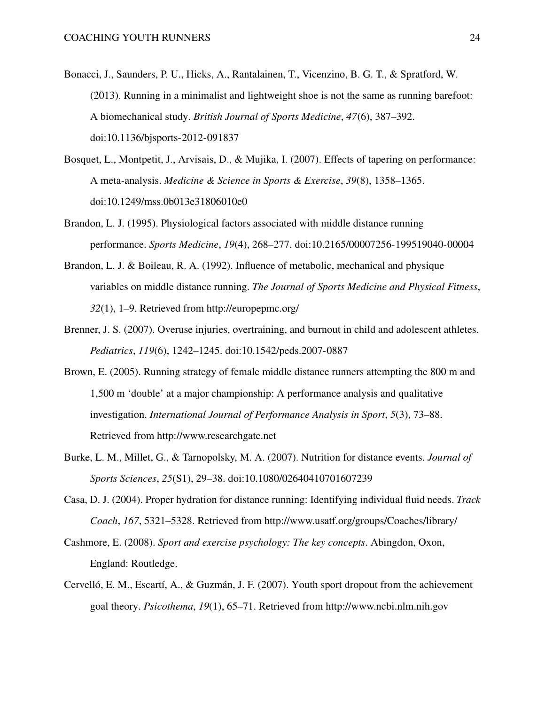- <span id="page-23-6"></span>Bonacci, J., Saunders, P. U., Hicks, A., Rantalainen, T., Vicenzino, B. G. T., & Spratford, W. (2013). Running in a minimalist and lightweight shoe is not the same as running barefoot: A biomechanical study. *British Journal of Sports Medicine*, *47*(6), 387–392. doi[:10.1136/bjsports-2012-091837](https://dx.doi.org/10.1136/bjsports-2012-091837)
- <span id="page-23-5"></span>Bosquet, L., Montpetit, J., Arvisais, D., & Mujika, I. (2007). Effects of tapering on performance: A meta-analysis. *Medicine & Science in Sports & Exercise*, *39*(8), 1358–1365. doi[:10.1249/mss.0b013e31806010e0](https://dx.doi.org/10.1249/mss.0b013e31806010e0)
- <span id="page-23-7"></span>Brandon, L. J. (1995). Physiological factors associated with middle distance running performance. *Sports Medicine*, *19*(4), 268–277. doi[:10.2165/00007256-199519040-00004](https://dx.doi.org/10.2165/00007256-199519040-00004)
- <span id="page-23-9"></span>Brandon, L. J. & Boileau, R. A. (1992). Influence of metabolic, mechanical and physique variables on middle distance running. *The Journal of Sports Medicine and Physical Fitness*, *32*(1), 1–9. Retrieved from<http://europepmc.org/>
- <span id="page-23-0"></span>Brenner, J. S. (2007). Overuse injuries, overtraining, and burnout in child and adolescent athletes. *Pediatrics*, *119*(6), 1242–1245. doi[:10.1542/peds.2007-0887](https://dx.doi.org/10.1542/peds.2007-0887)
- <span id="page-23-8"></span>Brown, E. (2005). Running strategy of female middle distance runners attempting the 800 m and 1,500 m 'double' at a major championship: A performance analysis and qualitative investigation. *International Journal of Performance Analysis in Sport*, *5*(3), 73–88. Retrieved from<http://www.researchgate.net>
- <span id="page-23-2"></span>Burke, L. M., Millet, G., & Tarnopolsky, M. A. (2007). Nutrition for distance events. *Journal of Sports Sciences*, *25*(S1), 29–38. doi[:10.1080/02640410701607239](https://dx.doi.org/10.1080/02640410701607239)
- <span id="page-23-1"></span>Casa, D. J. (2004). Proper hydration for distance running: Identifying individual fluid needs. *Track Coach*, *167*, 5321–5328. Retrieved from<http://www.usatf.org/groups/Coaches/library/>
- <span id="page-23-4"></span>Cashmore, E. (2008). *Sport and exercise psychology: The key concepts*. Abingdon, Oxon, England: Routledge.
- <span id="page-23-3"></span>Cervelló, E. M., Escartí, A., & Guzmán, J. F. (2007). Youth sport dropout from the achievement goal theory. *Psicothema*, *19*(1), 65–71. Retrieved from<http://www.ncbi.nlm.nih.gov>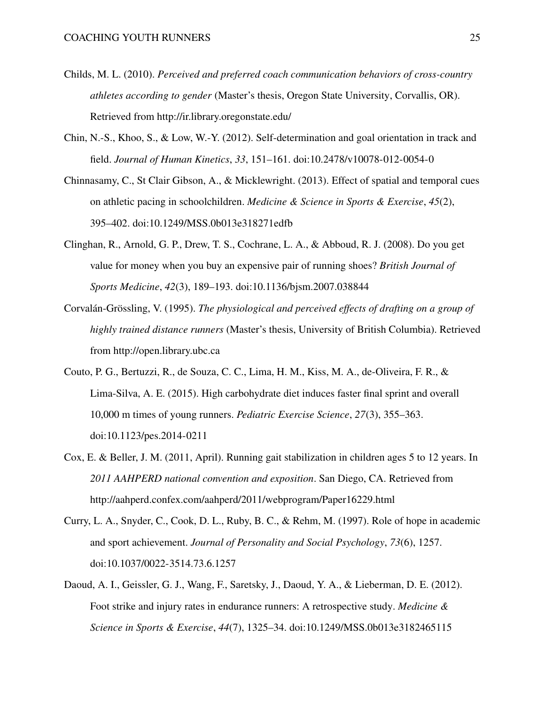- <span id="page-24-4"></span>Childs, M. L. (2010). *Perceived and preferred coach communication behaviors of cross-country athletes according to gender* (Master's thesis, Oregon State University, Corvallis, OR). Retrieved from<http://ir.library.oregonstate.edu/>
- <span id="page-24-1"></span>Chin, N.-S., Khoo, S., & Low, W.-Y. (2012). Self-determination and goal orientation in track and field. *Journal of Human Kinetics*, *33*, 151–161. doi[:10.2478/v10078-012-0054-0](https://dx.doi.org/10.2478/v10078-012-0054-0)
- <span id="page-24-3"></span>Chinnasamy, C., St Clair Gibson, A., & Micklewright. (2013). Effect of spatial and temporal cues on athletic pacing in schoolchildren. *Medicine & Science in Sports & Exercise*, *45*(2), 395–402. doi[:10.1249/MSS.0b013e318271edfb](https://dx.doi.org/10.1249/MSS.0b013e318271edfb)
- <span id="page-24-5"></span>Clinghan, R., Arnold, G. P., Drew, T. S., Cochrane, L. A., & Abboud, R. J. (2008). Do you get value for money when you buy an expensive pair of running shoes? *British Journal of Sports Medicine*, *42*(3), 189–193. doi[:10.1136/bjsm.2007.038844](https://dx.doi.org/10.1136/bjsm.2007.038844)
- <span id="page-24-7"></span>Corvalán-Grössling, V. (1995). *The physiological and perceived effects of drafting on a group of highly trained distance runners* (Master's thesis, University of British Columbia). Retrieved from<http://open.library.ubc.ca>
- <span id="page-24-0"></span>Couto, P. G., Bertuzzi, R., de Souza, C. C., Lima, H. M., Kiss, M. A., de-Oliveira, F. R., & Lima-Silva, A. E. (2015). High carbohydrate diet induces faster final sprint and overall 10,000 m times of young runners. *Pediatric Exercise Science*, *27*(3), 355–363. doi[:10.1123/pes.2014-0211](https://dx.doi.org/10.1123/pes.2014-0211)
- <span id="page-24-8"></span>Cox, E. & Beller, J. M. (2011, April). Running gait stabilization in children ages 5 to 12 years. In *2011 AAHPERD national convention and exposition*. San Diego, CA. Retrieved from <http://aahperd.confex.com/aahperd/2011/webprogram/Paper16229.html>
- <span id="page-24-2"></span>Curry, L. A., Snyder, C., Cook, D. L., Ruby, B. C., & Rehm, M. (1997). Role of hope in academic and sport achievement. *Journal of Personality and Social Psychology*, *73*(6), 1257. doi[:10.1037/0022-3514.73.6.1257](https://dx.doi.org/10.1037/0022-3514.73.6.1257)
- <span id="page-24-6"></span>Daoud, A. I., Geissler, G. J., Wang, F., Saretsky, J., Daoud, Y. A., & Lieberman, D. E. (2012). Foot strike and injury rates in endurance runners: A retrospective study. *Medicine & Science in Sports & Exercise*, *44*(7), 1325–34. doi[:10.1249/MSS.0b013e3182465115](https://dx.doi.org/10.1249/MSS.0b013e3182465115)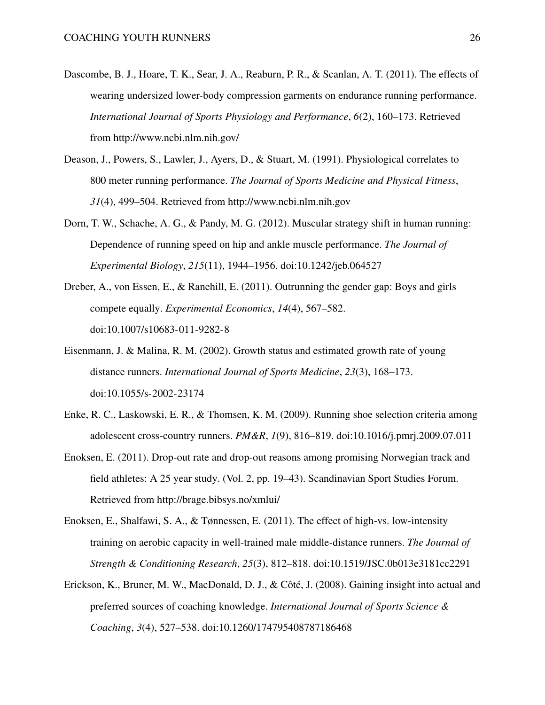- <span id="page-25-4"></span>Dascombe, B. J., Hoare, T. K., Sear, J. A., Reaburn, P. R., & Scanlan, A. T. (2011). The effects of wearing undersized lower-body compression garments on endurance running performance. *International Journal of Sports Physiology and Performance*, *6*(2), 160–173. Retrieved from<http://www.ncbi.nlm.nih.gov/>
- <span id="page-25-8"></span>Deason, J., Powers, S., Lawler, J., Ayers, D., & Stuart, M. (1991). Physiological correlates to 800 meter running performance. *The Journal of Sports Medicine and Physical Fitness*, *31*(4), 499–504. Retrieved from<http://www.ncbi.nlm.nih.gov>
- <span id="page-25-7"></span>Dorn, T. W., Schache, A. G., & Pandy, M. G. (2012). Muscular strategy shift in human running: Dependence of running speed on hip and ankle muscle performance. *The Journal of Experimental Biology*, *215*(11), 1944–1956. doi[:10.1242/jeb.064527](https://dx.doi.org/10.1242/jeb.064527)
- <span id="page-25-2"></span>Dreber, A., von Essen, E., & Ranehill, E. (2011). Outrunning the gender gap: Boys and girls compete equally. *Experimental Economics*, *14*(4), 567–582. doi[:10.1007/s10683-011-9282-8](https://dx.doi.org/10.1007/s10683-011-9282-8)
- <span id="page-25-6"></span>Eisenmann, J. & Malina, R. M. (2002). Growth status and estimated growth rate of young distance runners. *International Journal of Sports Medicine*, *23*(3), 168–173. doi[:10.1055/s-2002-23174](https://dx.doi.org/10.1055/s-2002-23174)
- <span id="page-25-5"></span>Enke, R. C., Laskowski, E. R., & Thomsen, K. M. (2009). Running shoe selection criteria among adolescent cross-country runners. *PM&R*, *1*(9), 816–819. doi[:10.1016/j.pmrj.2009.07.011](https://dx.doi.org/10.1016/j.pmrj.2009.07.011)
- <span id="page-25-1"></span>Enoksen, E. (2011). Drop-out rate and drop-out reasons among promising Norwegian track and field athletes: A 25 year study. (Vol. 2, pp. 19–43). Scandinavian Sport Studies Forum. Retrieved from<http://brage.bibsys.no/xmlui/>
- <span id="page-25-3"></span>Enoksen, E., Shalfawi, S. A., & Tønnessen, E. (2011). The effect of high-vs. low-intensity training on aerobic capacity in well-trained male middle-distance runners. *The Journal of Strength & Conditioning Research*, *25*(3), 812–818. doi[:10.1519/JSC.0b013e3181cc2291](https://dx.doi.org/10.1519/JSC.0b013e3181cc2291)
- <span id="page-25-0"></span>Erickson, K., Bruner, M. W., MacDonald, D. J., & Côté, J. (2008). Gaining insight into actual and preferred sources of coaching knowledge. *International Journal of Sports Science & Coaching*, *3*(4), 527–538. doi[:10.1260/174795408787186468](https://dx.doi.org/10.1260/174795408787186468)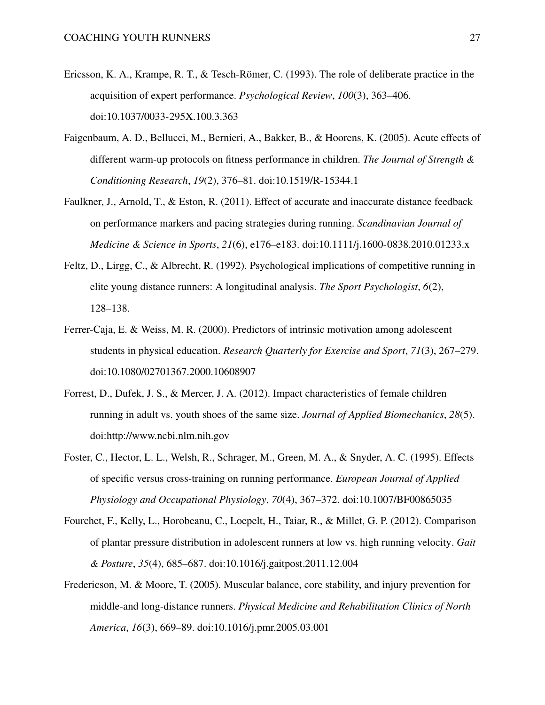- <span id="page-26-0"></span>Ericsson, K. A., Krampe, R. T., & Tesch-Römer, C. (1993). The role of deliberate practice in the acquisition of expert performance. *Psychological Review*, *100*(3), 363–406. doi[:10.1037/0033-295X.100.3.363](https://dx.doi.org/10.1037/0033-295X.100.3.363)
- <span id="page-26-5"></span>Faigenbaum, A. D., Bellucci, M., Bernieri, A., Bakker, B., & Hoorens, K. (2005). Acute effects of different warm-up protocols on fitness performance in children. *The Journal of Strength & Conditioning Research*, *19*(2), 376–81. doi[:10.1519/R-15344.1](https://dx.doi.org/10.1519/R-15344.1)
- <span id="page-26-2"></span>Faulkner, J., Arnold, T., & Eston, R. (2011). Effect of accurate and inaccurate distance feedback on performance markers and pacing strategies during running. *Scandinavian Journal of Medicine & Science in Sports*, *21*(6), e176–e183. doi[:10.1111/j.1600-0838.2010.01233.x](https://dx.doi.org/10.1111/j.1600-0838.2010.01233.x)
- <span id="page-26-3"></span>Feltz, D., Lirgg, C., & Albrecht, R. (1992). Psychological implications of competitive running in elite young distance runners: A longitudinal analysis. *The Sport Psychologist*, *6*(2), 128–138.
- <span id="page-26-1"></span>Ferrer-Caja, E. & Weiss, M. R. (2000). Predictors of intrinsic motivation among adolescent students in physical education. *Research Quarterly for Exercise and Sport*, *71*(3), 267–279. doi[:10.1080/02701367.2000.10608907](https://dx.doi.org/10.1080/02701367.2000.10608907)
- <span id="page-26-6"></span>Forrest, D., Dufek, J. S., & Mercer, J. A. (2012). Impact characteristics of female children running in adult vs. youth shoes of the same size. *Journal of Applied Biomechanics*, *28*(5). doi[:http://www.ncbi.nlm.nih.gov](https://dx.doi.org/http://www.ncbi.nlm.nih.gov)
- <span id="page-26-7"></span>Foster, C., Hector, L. L., Welsh, R., Schrager, M., Green, M. A., & Snyder, A. C. (1995). Effects of specific versus cross-training on running performance. *European Journal of Applied Physiology and Occupational Physiology*, *70*(4), 367–372. doi[:10.1007/BF00865035](https://dx.doi.org/10.1007/BF00865035)
- <span id="page-26-4"></span>Fourchet, F., Kelly, L., Horobeanu, C., Loepelt, H., Taiar, R., & Millet, G. P. (2012). Comparison of plantar pressure distribution in adolescent runners at low vs. high running velocity. *Gait & Posture*, *35*(4), 685–687. doi[:10.1016/j.gaitpost.2011.12.004](https://dx.doi.org/10.1016/j.gaitpost.2011.12.004)
- <span id="page-26-8"></span>Fredericson, M. & Moore, T. (2005). Muscular balance, core stability, and injury prevention for middle-and long-distance runners. *Physical Medicine and Rehabilitation Clinics of North America*, *16*(3), 669–89. doi[:10.1016/j.pmr.2005.03.001](https://dx.doi.org/10.1016/j.pmr.2005.03.001)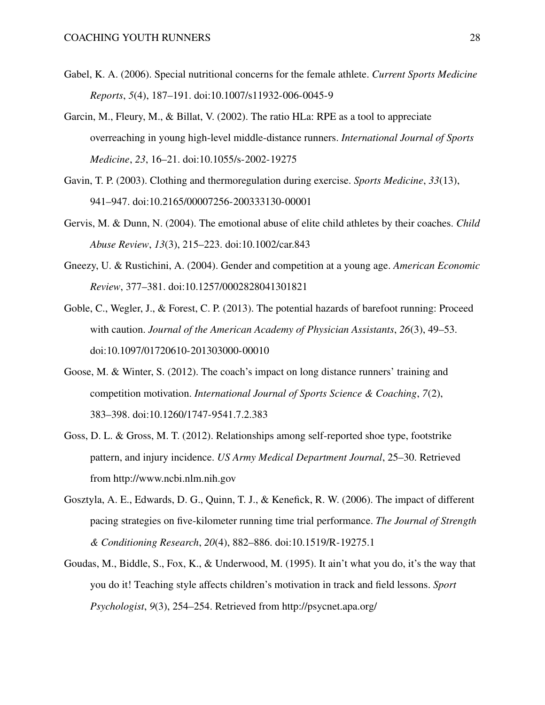- <span id="page-27-0"></span>Gabel, K. A. (2006). Special nutritional concerns for the female athlete. *Current Sports Medicine Reports*, *5*(4), 187–191. doi[:10.1007/s11932-006-0045-9](https://dx.doi.org/10.1007/s11932-006-0045-9)
- <span id="page-27-5"></span>Garcin, M., Fleury, M., & Billat, V. (2002). The ratio HLa: RPE as a tool to appreciate overreaching in young high-level middle-distance runners. *International Journal of Sports Medicine*, *23*, 16–21. doi[:10.1055/s-2002-19275](https://dx.doi.org/10.1055/s-2002-19275)
- <span id="page-27-6"></span>Gavin, T. P. (2003). Clothing and thermoregulation during exercise. *Sports Medicine*, *33*(13), 941–947. doi[:10.2165/00007256-200333130-00001](https://dx.doi.org/10.2165/00007256-200333130-00001)
- <span id="page-27-1"></span>Gervis, M. & Dunn, N. (2004). The emotional abuse of elite child athletes by their coaches. *Child Abuse Review*, *13*(3), 215–223. doi[:10.1002/car.843](https://dx.doi.org/10.1002/car.843)
- <span id="page-27-4"></span>Gneezy, U. & Rustichini, A. (2004). Gender and competition at a young age. *American Economic Review*, 377–381. doi[:10.1257/0002828041301821](https://dx.doi.org/10.1257/0002828041301821)
- <span id="page-27-8"></span>Goble, C., Wegler, J., & Forest, C. P. (2013). The potential hazards of barefoot running: Proceed with caution. *Journal of the American Academy of Physician Assistants*, *26*(3), 49–53. doi[:10.1097/01720610-201303000-00010](https://dx.doi.org/10.1097/01720610-201303000-00010)
- <span id="page-27-2"></span>Goose, M. & Winter, S. (2012). The coach's impact on long distance runners' training and competition motivation. *International Journal of Sports Science & Coaching*, *7*(2), 383–398. doi[:10.1260/1747-9541.7.2.383](https://dx.doi.org/10.1260/1747-9541.7.2.383)
- <span id="page-27-7"></span>Goss, D. L. & Gross, M. T. (2012). Relationships among self-reported shoe type, footstrike pattern, and injury incidence. *US Army Medical Department Journal*, 25–30. Retrieved from<http://www.ncbi.nlm.nih.gov>
- <span id="page-27-9"></span>Gosztyla, A. E., Edwards, D. G., Quinn, T. J., & Kenefick, R. W. (2006). The impact of different pacing strategies on five-kilometer running time trial performance. *The Journal of Strength & Conditioning Research*, *20*(4), 882–886. doi[:10.1519/R-19275.1](https://dx.doi.org/10.1519/R-19275.1)
- <span id="page-27-3"></span>Goudas, M., Biddle, S., Fox, K., & Underwood, M. (1995). It ain't what you do, it's the way that you do it! Teaching style affects children's motivation in track and field lessons. *Sport Psychologist*, *9*(3), 254–254. Retrieved from<http://psycnet.apa.org/>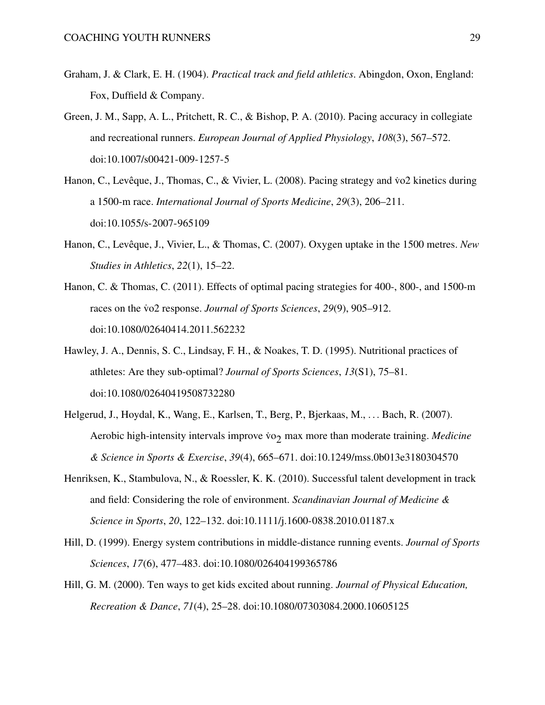- <span id="page-28-0"></span>Graham, J. & Clark, E. H. (1904). *Practical track and field athletics*. Abingdon, Oxon, England: Fox, Duffield & Company.
- <span id="page-28-6"></span>Green, J. M., Sapp, A. L., Pritchett, R. C., & Bishop, P. A. (2010). Pacing accuracy in collegiate and recreational runners. *European Journal of Applied Physiology*, *108*(3), 567–572. doi[:10.1007/s00421-009-1257-5](https://dx.doi.org/10.1007/s00421-009-1257-5)
- <span id="page-28-8"></span>Hanon, C., Levêque, J., Thomas, C., & Vivier, L. (2008). Pacing strategy and vo2 kinetics during a 1500-m race. *International Journal of Sports Medicine*, *29*(3), 206–211. doi[:10.1055/s-2007-965109](https://dx.doi.org/10.1055/s-2007-965109)
- <span id="page-28-9"></span>Hanon, C., Levêque, J., Vivier, L., & Thomas, C. (2007). Oxygen uptake in the 1500 metres. *New Studies in Athletics*, *22*(1), 15–22.
- <span id="page-28-7"></span>Hanon, C. & Thomas, C. (2011). Effects of optimal pacing strategies for 400-, 800-, and 1500-m races on the vo2 response. *Journal of Sports Sciences*, 29(9), 905–912. doi[:10.1080/02640414.2011.562232](https://dx.doi.org/10.1080/02640414.2011.562232)
- <span id="page-28-1"></span>Hawley, J. A., Dennis, S. C., Lindsay, F. H., & Noakes, T. D. (1995). Nutritional practices of athletes: Are they sub-optimal? *Journal of Sports Sciences*, *13*(S1), 75–81. doi[:10.1080/02640419508732280](https://dx.doi.org/10.1080/02640419508732280)
- <span id="page-28-4"></span>Helgerud, J., Hoydal, K., Wang, E., Karlsen, T., Berg, P., Bjerkaas, M., . . . Bach, R. (2007). Aerobic high-intensity intervals improve vo<sub>2</sub> max more than moderate training. *Medicine & Science in Sports & Exercise*, *39*(4), 665–671. doi[:10.1249/mss.0b013e3180304570](https://dx.doi.org/10.1249/mss.0b013e3180304570)
- <span id="page-28-2"></span>Henriksen, K., Stambulova, N., & Roessler, K. K. (2010). Successful talent development in track and field: Considering the role of environment. *Scandinavian Journal of Medicine & Science in Sports*, *20*, 122–132. doi[:10.1111/j.1600-0838.2010.01187.x](https://dx.doi.org/10.1111/j.1600-0838.2010.01187.x)
- <span id="page-28-5"></span>Hill, D. (1999). Energy system contributions in middle-distance running events. *Journal of Sports Sciences*, *17*(6), 477–483. doi[:10.1080/026404199365786](https://dx.doi.org/10.1080/026404199365786)
- <span id="page-28-3"></span>Hill, G. M. (2000). Ten ways to get kids excited about running. *Journal of Physical Education, Recreation & Dance*, *71*(4), 25–28. doi[:10.1080/07303084.2000.10605125](https://dx.doi.org/10.1080/07303084.2000.10605125)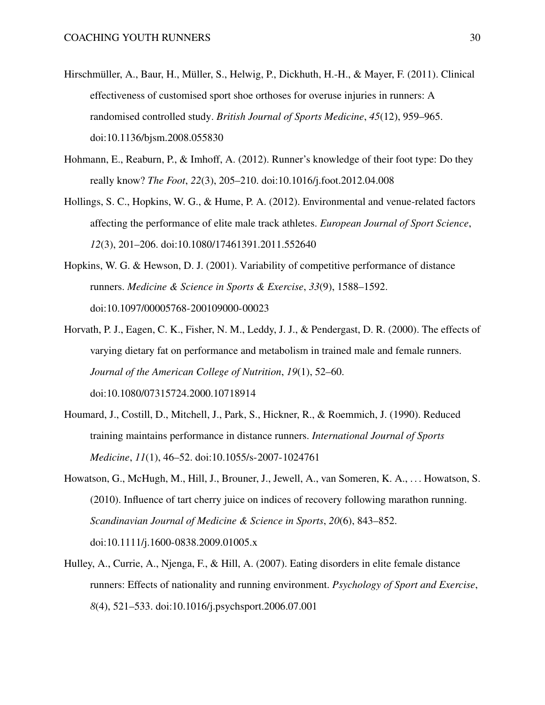- <span id="page-29-5"></span>Hirschmüller, A., Baur, H., Müller, S., Helwig, P., Dickhuth, H.-H., & Mayer, F. (2011). Clinical effectiveness of customised sport shoe orthoses for overuse injuries in runners: A randomised controlled study. *British Journal of Sports Medicine*, *45*(12), 959–965. doi[:10.1136/bjsm.2008.055830](https://dx.doi.org/10.1136/bjsm.2008.055830)
- <span id="page-29-4"></span>Hohmann, E., Reaburn, P., & Imhoff, A. (2012). Runner's knowledge of their foot type: Do they really know? *The Foot*, *22*(3), 205–210. doi[:10.1016/j.foot.2012.04.008](https://dx.doi.org/10.1016/j.foot.2012.04.008)
- <span id="page-29-7"></span>Hollings, S. C., Hopkins, W. G., & Hume, P. A. (2012). Environmental and venue-related factors affecting the performance of elite male track athletes. *European Journal of Sport Science*, *12*(3), 201–206. doi[:10.1080/17461391.2011.552640](https://dx.doi.org/10.1080/17461391.2011.552640)
- <span id="page-29-6"></span>Hopkins, W. G. & Hewson, D. J. (2001). Variability of competitive performance of distance runners. *Medicine & Science in Sports & Exercise*, *33*(9), 1588–1592. doi[:10.1097/00005768-200109000-00023](https://dx.doi.org/10.1097/00005768-200109000-00023)
- <span id="page-29-0"></span>Horvath, P. J., Eagen, C. K., Fisher, N. M., Leddy, J. J., & Pendergast, D. R. (2000). The effects of varying dietary fat on performance and metabolism in trained male and female runners. *Journal of the American College of Nutrition*, *19*(1), 52–60. doi[:10.1080/07315724.2000.10718914](https://dx.doi.org/10.1080/07315724.2000.10718914)
- <span id="page-29-3"></span>Houmard, J., Costill, D., Mitchell, J., Park, S., Hickner, R., & Roemmich, J. (1990). Reduced training maintains performance in distance runners. *International Journal of Sports Medicine*, *11*(1), 46–52. doi[:10.1055/s-2007-1024761](https://dx.doi.org/10.1055/s-2007-1024761)
- <span id="page-29-1"></span>Howatson, G., McHugh, M., Hill, J., Brouner, J., Jewell, A., van Someren, K. A., . . . Howatson, S. (2010). Influence of tart cherry juice on indices of recovery following marathon running. *Scandinavian Journal of Medicine & Science in Sports*, *20*(6), 843–852. doi[:10.1111/j.1600-0838.2009.01005.x](https://dx.doi.org/10.1111/j.1600-0838.2009.01005.x)
- <span id="page-29-2"></span>Hulley, A., Currie, A., Njenga, F., & Hill, A. (2007). Eating disorders in elite female distance runners: Effects of nationality and running environment. *Psychology of Sport and Exercise*, *8*(4), 521–533. doi[:10.1016/j.psychsport.2006.07.001](https://dx.doi.org/10.1016/j.psychsport.2006.07.001)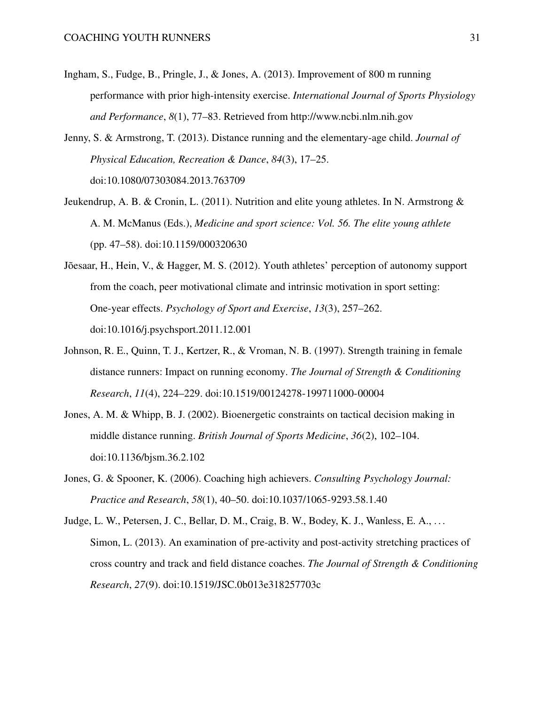- <span id="page-30-5"></span>Ingham, S., Fudge, B., Pringle, J., & Jones, A. (2013). Improvement of 800 m running performance with prior high-intensity exercise. *International Journal of Sports Physiology and Performance*, *8*(1), 77–83. Retrieved from<http://www.ncbi.nlm.nih.gov>
- <span id="page-30-1"></span>Jenny, S. & Armstrong, T. (2013). Distance running and the elementary-age child. *Journal of Physical Education, Recreation & Dance*, *84*(3), 17–25. doi[:10.1080/07303084.2013.763709](https://dx.doi.org/10.1080/07303084.2013.763709)
- <span id="page-30-2"></span>Jeukendrup, A. B. & Cronin, L. (2011). Nutrition and elite young athletes. In N. Armstrong & A. M. McManus (Eds.), *Medicine and sport science: Vol. 56. The elite young athlete* (pp. 47–58). doi[:10.1159/000320630](https://dx.doi.org/10.1159/000320630)
- <span id="page-30-4"></span>Jõesaar, H., Hein, V., & Hagger, M. S. (2012). Youth athletes' perception of autonomy support from the coach, peer motivational climate and intrinsic motivation in sport setting: One-year effects. *Psychology of Sport and Exercise*, *13*(3), 257–262. doi[:10.1016/j.psychsport.2011.12.001](https://dx.doi.org/10.1016/j.psychsport.2011.12.001)
- <span id="page-30-6"></span>Johnson, R. E., Quinn, T. J., Kertzer, R., & Vroman, N. B. (1997). Strength training in female distance runners: Impact on running economy. *The Journal of Strength & Conditioning Research*, *11*(4), 224–229. doi[:10.1519/00124278-199711000-00004](https://dx.doi.org/10.1519/00124278-199711000-00004)
- <span id="page-30-7"></span>Jones, A. M. & Whipp, B. J. (2002). Bioenergetic constraints on tactical decision making in middle distance running. *British Journal of Sports Medicine*, *36*(2), 102–104. doi[:10.1136/bjsm.36.2.102](https://dx.doi.org/10.1136/bjsm.36.2.102)
- <span id="page-30-3"></span>Jones, G. & Spooner, K. (2006). Coaching high achievers. *Consulting Psychology Journal: Practice and Research*, *58*(1), 40–50. doi[:10.1037/1065-9293.58.1.40](https://dx.doi.org/10.1037/1065-9293.58.1.40)
- <span id="page-30-0"></span>Judge, L. W., Petersen, J. C., Bellar, D. M., Craig, B. W., Bodey, K. J., Wanless, E. A., . . . Simon, L. (2013). An examination of pre-activity and post-activity stretching practices of cross country and track and field distance coaches. *The Journal of Strength & Conditioning Research*, *27*(9). doi[:10.1519/JSC.0b013e318257703c](https://dx.doi.org/10.1519/JSC.0b013e318257703c)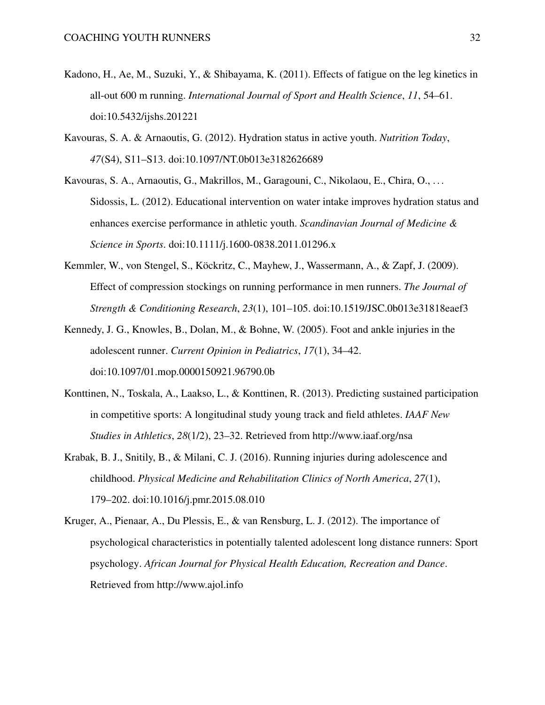- <span id="page-31-7"></span>Kadono, H., Ae, M., Suzuki, Y., & Shibayama, K. (2011). Effects of fatigue on the leg kinetics in all-out 600 m running. *International Journal of Sport and Health Science*, *11*, 54–61. doi[:10.5432/ijshs.201221](https://dx.doi.org/10.5432/ijshs.201221)
- <span id="page-31-1"></span>Kavouras, S. A. & Arnaoutis, G. (2012). Hydration status in active youth. *Nutrition Today*, *47*(S4), S11–S13. doi[:10.1097/NT.0b013e3182626689](https://dx.doi.org/10.1097/NT.0b013e3182626689)
- <span id="page-31-2"></span>Kavouras, S. A., Arnaoutis, G., Makrillos, M., Garagouni, C., Nikolaou, E., Chira, O., . . . Sidossis, L. (2012). Educational intervention on water intake improves hydration status and enhances exercise performance in athletic youth. *Scandinavian Journal of Medicine & Science in Sports*. doi[:10.1111/j.1600-0838.2011.01296.x](https://dx.doi.org/10.1111/j.1600-0838.2011.01296.x)
- <span id="page-31-6"></span>Kemmler, W., von Stengel, S., Köckritz, C., Mayhew, J., Wassermann, A., & Zapf, J. (2009). Effect of compression stockings on running performance in men runners. *The Journal of Strength & Conditioning Research*, *23*(1), 101–105. doi[:10.1519/JSC.0b013e31818eaef3](https://dx.doi.org/10.1519/JSC.0b013e31818eaef3)
- <span id="page-31-5"></span>Kennedy, J. G., Knowles, B., Dolan, M., & Bohne, W. (2005). Foot and ankle injuries in the adolescent runner. *Current Opinion in Pediatrics*, *17*(1), 34–42. doi[:10.1097/01.mop.0000150921.96790.0b](https://dx.doi.org/10.1097/01.mop.0000150921.96790.0b)
- <span id="page-31-4"></span>Konttinen, N., Toskala, A., Laakso, L., & Konttinen, R. (2013). Predicting sustained participation in competitive sports: A longitudinal study young track and field athletes. *IAAF New Studies in Athletics*, *28*(1/2), 23–32. Retrieved from<http://www.iaaf.org/nsa>
- <span id="page-31-0"></span>Krabak, B. J., Snitily, B., & Milani, C. J. (2016). Running injuries during adolescence and childhood. *Physical Medicine and Rehabilitation Clinics of North America*, *27*(1), 179–202. doi[:10.1016/j.pmr.2015.08.010](https://dx.doi.org/10.1016/j.pmr.2015.08.010)
- <span id="page-31-3"></span>Kruger, A., Pienaar, A., Du Plessis, E., & van Rensburg, L. J. (2012). The importance of psychological characteristics in potentially talented adolescent long distance runners: Sport psychology. *African Journal for Physical Health Education, Recreation and Dance*. Retrieved from<http://www.ajol.info>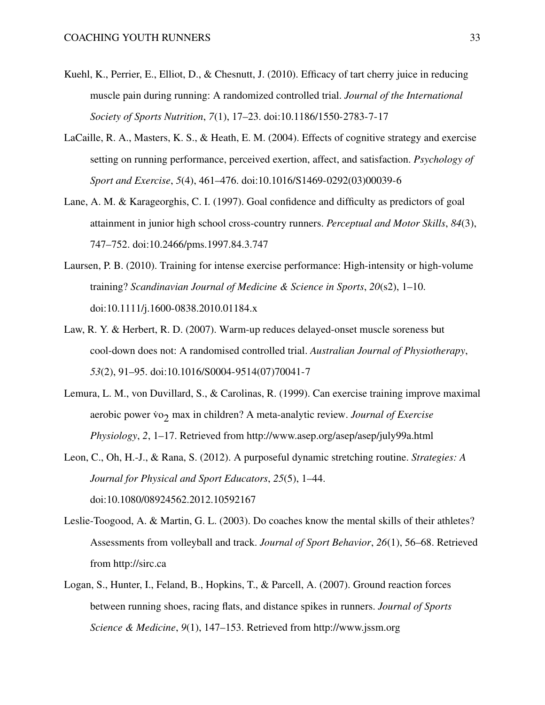- <span id="page-32-0"></span>Kuehl, K., Perrier, E., Elliot, D., & Chesnutt, J. (2010). Efficacy of tart cherry juice in reducing muscle pain during running: A randomized controlled trial. *Journal of the International Society of Sports Nutrition*, *7*(1), 17–23. doi[:10.1186/1550-2783-7-17](https://dx.doi.org/10.1186/1550-2783-7-17)
- <span id="page-32-7"></span>LaCaille, R. A., Masters, K. S., & Heath, E. M. (2004). Effects of cognitive strategy and exercise setting on running performance, perceived exertion, affect, and satisfaction. *Psychology of Sport and Exercise*, *5*(4), 461–476. doi[:10.1016/S1469-0292\(03\)00039-6](https://dx.doi.org/10.1016/S1469-0292(03)00039-6)
- <span id="page-32-2"></span>Lane, A. M. & Karageorghis, C. I. (1997). Goal confidence and difficulty as predictors of goal attainment in junior high school cross-country runners. *Perceptual and Motor Skills*, *84*(3), 747–752. doi[:10.2466/pms.1997.84.3.747](https://dx.doi.org/10.2466/pms.1997.84.3.747)
- <span id="page-32-4"></span>Laursen, P. B. (2010). Training for intense exercise performance: High-intensity or high-volume training? *Scandinavian Journal of Medicine & Science in Sports*, *20*(s2), 1–10. doi[:10.1111/j.1600-0838.2010.01184.x](https://dx.doi.org/10.1111/j.1600-0838.2010.01184.x)
- <span id="page-32-5"></span>Law, R. Y. & Herbert, R. D. (2007). Warm-up reduces delayed-onset muscle soreness but cool-down does not: A randomised controlled trial. *Australian Journal of Physiotherapy*, *53*(2), 91–95. doi[:10.1016/S0004-9514\(07\)70041-7](https://dx.doi.org/10.1016/S0004-9514(07)70041-7)
- <span id="page-32-3"></span>Lemura, L. M., von Duvillard, S., & Carolinas, R. (1999). Can exercise training improve maximal aerobic power vo<sub>2</sub> max in children? A meta-analytic review. *Journal of Exercise Physiology*, *2*, 1–17. Retrieved from<http://www.asep.org/asep/asep/july99a.html>
- <span id="page-32-6"></span>Leon, C., Oh, H.-J., & Rana, S. (2012). A purposeful dynamic stretching routine. *Strategies: A Journal for Physical and Sport Educators*, *25*(5), 1–44. doi[:10.1080/08924562.2012.10592167](https://dx.doi.org/10.1080/08924562.2012.10592167)
- <span id="page-32-1"></span>Leslie-Toogood, A. & Martin, G. L. (2003). Do coaches know the mental skills of their athletes? Assessments from volleyball and track. *Journal of Sport Behavior*, *26*(1), 56–68. Retrieved from<http://sirc.ca>
- <span id="page-32-8"></span>Logan, S., Hunter, I., Feland, B., Hopkins, T., & Parcell, A. (2007). Ground reaction forces between running shoes, racing flats, and distance spikes in runners. *Journal of Sports Science & Medicine*, *9*(1), 147–153. Retrieved from<http://www.jssm.org>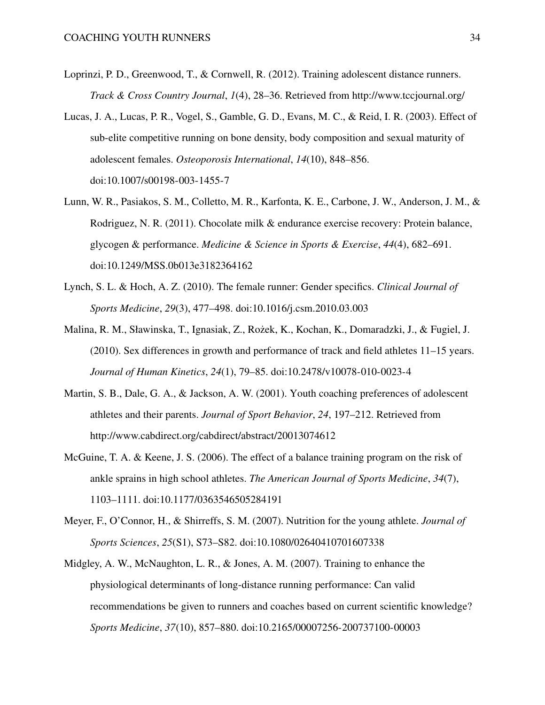- <span id="page-33-6"></span>Loprinzi, P. D., Greenwood, T., & Cornwell, R. (2012). Training adolescent distance runners. *Track & Cross Country Journal*, *1*(4), 28–36. Retrieved from<http://www.tccjournal.org/>
- <span id="page-33-4"></span>Lucas, J. A., Lucas, P. R., Vogel, S., Gamble, G. D., Evans, M. C., & Reid, I. R. (2003). Effect of sub-elite competitive running on bone density, body composition and sexual maturity of adolescent females. *Osteoporosis International*, *14*(10), 848–856. doi[:10.1007/s00198-003-1455-7](https://dx.doi.org/10.1007/s00198-003-1455-7)
- <span id="page-33-2"></span>Lunn, W. R., Pasiakos, S. M., Colletto, M. R., Karfonta, K. E., Carbone, J. W., Anderson, J. M., & Rodriguez, N. R. (2011). Chocolate milk & endurance exercise recovery: Protein balance, glycogen & performance. *Medicine & Science in Sports & Exercise*, *44*(4), 682–691. doi[:10.1249/MSS.0b013e3182364162](https://dx.doi.org/10.1249/MSS.0b013e3182364162)
- <span id="page-33-1"></span>Lynch, S. L. & Hoch, A. Z. (2010). The female runner: Gender specifics. *Clinical Journal of Sports Medicine*, *29*(3), 477–498. doi[:10.1016/j.csm.2010.03.003](https://dx.doi.org/10.1016/j.csm.2010.03.003)
- <span id="page-33-8"></span>Malina, R. M., Sławinska, T., Ignasiak, Z., Rożek, K., Kochan, K., Domaradzki, J., & Fugiel, J. (2010). Sex differences in growth and performance of track and field athletes 11–15 years. *Journal of Human Kinetics*, *24*(1), 79–85. doi[:10.2478/v10078-010-0023-4](https://dx.doi.org/10.2478/v10078-010-0023-4)
- <span id="page-33-5"></span>Martin, S. B., Dale, G. A., & Jackson, A. W. (2001). Youth coaching preferences of adolescent athletes and their parents. *Journal of Sport Behavior*, *24*, 197–212. Retrieved from <http://www.cabdirect.org/cabdirect/abstract/20013074612>
- <span id="page-33-7"></span>McGuine, T. A. & Keene, J. S. (2006). The effect of a balance training program on the risk of ankle sprains in high school athletes. *The American Journal of Sports Medicine*, *34*(7), 1103–1111. doi[:10.1177/0363546505284191](https://dx.doi.org/10.1177/0363546505284191)
- <span id="page-33-3"></span>Meyer, F., O'Connor, H., & Shirreffs, S. M. (2007). Nutrition for the young athlete. *Journal of Sports Sciences*, *25*(S1), S73–S82. doi[:10.1080/02640410701607338](https://dx.doi.org/10.1080/02640410701607338)
- <span id="page-33-0"></span>Midgley, A. W., McNaughton, L. R., & Jones, A. M. (2007). Training to enhance the physiological determinants of long-distance running performance: Can valid recommendations be given to runners and coaches based on current scientific knowledge? *Sports Medicine*, *37*(10), 857–880. doi[:10.2165/00007256-200737100-00003](https://dx.doi.org/10.2165/00007256-200737100-00003)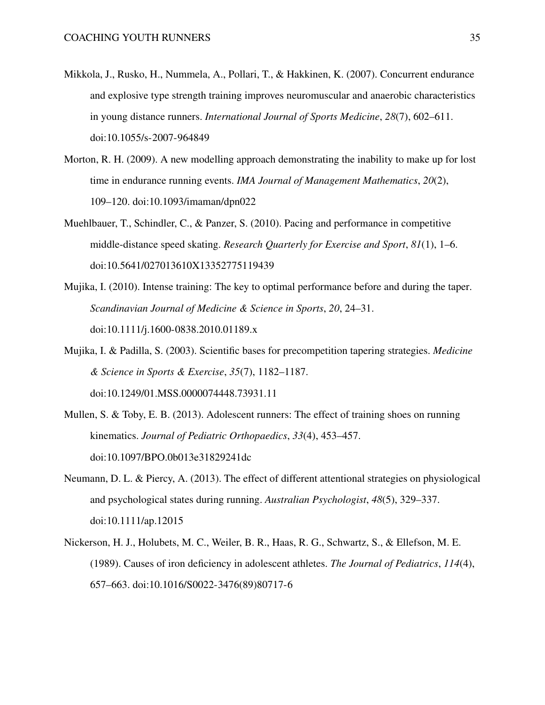- <span id="page-34-5"></span>Mikkola, J., Rusko, H., Nummela, A., Pollari, T., & Hakkinen, K. (2007). Concurrent endurance and explosive type strength training improves neuromuscular and anaerobic characteristics in young distance runners. *International Journal of Sports Medicine*, *28*(7), 602–611. doi[:10.1055/s-2007-964849](https://dx.doi.org/10.1055/s-2007-964849)
- <span id="page-34-6"></span>Morton, R. H. (2009). A new modelling approach demonstrating the inability to make up for lost time in endurance running events. *IMA Journal of Management Mathematics*, *20*(2), 109–120. doi[:10.1093/imaman/dpn022](https://dx.doi.org/10.1093/imaman/dpn022)
- <span id="page-34-7"></span>Muehlbauer, T., Schindler, C., & Panzer, S. (2010). Pacing and performance in competitive middle-distance speed skating. *Research Quarterly for Exercise and Sport*, *81*(1), 1–6. doi[:10.5641/027013610X13352775119439](https://dx.doi.org/10.5641/027013610X13352775119439)
- <span id="page-34-2"></span>Mujika, I. (2010). Intense training: The key to optimal performance before and during the taper. *Scandinavian Journal of Medicine & Science in Sports*, *20*, 24–31. doi[:10.1111/j.1600-0838.2010.01189.x](https://dx.doi.org/10.1111/j.1600-0838.2010.01189.x)
- <span id="page-34-3"></span>Mujika, I. & Padilla, S. (2003). Scientific bases for precompetition tapering strategies. *Medicine & Science in Sports & Exercise*, *35*(7), 1182–1187. doi[:10.1249/01.MSS.0000074448.73931.11](https://dx.doi.org/10.1249/01.MSS.0000074448.73931.11)
- <span id="page-34-4"></span>Mullen, S. & Toby, E. B. (2013). Adolescent runners: The effect of training shoes on running kinematics. *Journal of Pediatric Orthopaedics*, *33*(4), 453–457. doi[:10.1097/BPO.0b013e31829241dc](https://dx.doi.org/10.1097/BPO.0b013e31829241dc)
- <span id="page-34-1"></span>Neumann, D. L. & Piercy, A. (2013). The effect of different attentional strategies on physiological and psychological states during running. *Australian Psychologist*, *48*(5), 329–337. doi[:10.1111/ap.12015](https://dx.doi.org/10.1111/ap.12015)
- <span id="page-34-0"></span>Nickerson, H. J., Holubets, M. C., Weiler, B. R., Haas, R. G., Schwartz, S., & Ellefson, M. E. (1989). Causes of iron deficiency in adolescent athletes. *The Journal of Pediatrics*, *114*(4), 657–663. doi[:10.1016/S0022-3476\(89\)80717-6](https://dx.doi.org/10.1016/S0022-3476(89)80717-6)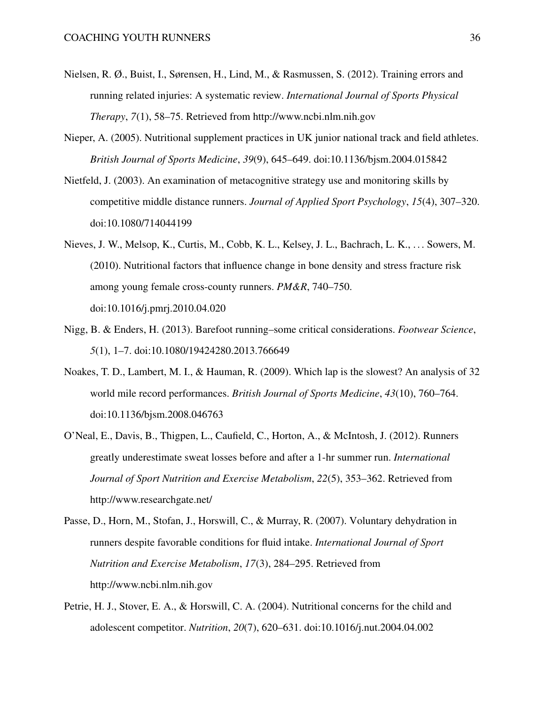- <span id="page-35-6"></span>Nielsen, R. Ø., Buist, I., Sørensen, H., Lind, M., & Rasmussen, S. (2012). Training errors and running related injuries: A systematic review. *International Journal of Sports Physical Therapy*, *7*(1), 58–75. Retrieved from<http://www.ncbi.nlm.nih.gov>
- <span id="page-35-3"></span>Nieper, A. (2005). Nutritional supplement practices in UK junior national track and field athletes. *British Journal of Sports Medicine*, *39*(9), 645–649. doi[:10.1136/bjsm.2004.015842](https://dx.doi.org/10.1136/bjsm.2004.015842)
- <span id="page-35-5"></span>Nietfeld, J. (2003). An examination of metacognitive strategy use and monitoring skills by competitive middle distance runners. *Journal of Applied Sport Psychology*, *15*(4), 307–320. doi[:10.1080/714044199](https://dx.doi.org/10.1080/714044199)
- <span id="page-35-4"></span>Nieves, J. W., Melsop, K., Curtis, M., Cobb, K. L., Kelsey, J. L., Bachrach, L. K., . . . Sowers, M. (2010). Nutritional factors that influence change in bone density and stress fracture risk among young female cross-county runners. *PM&R*, 740–750. doi[:10.1016/j.pmrj.2010.04.020](https://dx.doi.org/10.1016/j.pmrj.2010.04.020)
- <span id="page-35-7"></span>Nigg, B. & Enders, H. (2013). Barefoot running–some critical considerations. *Footwear Science*, *5*(1), 1–7. doi[:10.1080/19424280.2013.766649](https://dx.doi.org/10.1080/19424280.2013.766649)
- <span id="page-35-8"></span>Noakes, T. D., Lambert, M. I., & Hauman, R. (2009). Which lap is the slowest? An analysis of 32 world mile record performances. *British Journal of Sports Medicine*, *43*(10), 760–764. doi[:10.1136/bjsm.2008.046763](https://dx.doi.org/10.1136/bjsm.2008.046763)
- <span id="page-35-1"></span>O'Neal, E., Davis, B., Thigpen, L., Caufield, C., Horton, A., & McIntosh, J. (2012). Runners greatly underestimate sweat losses before and after a 1-hr summer run. *International Journal of Sport Nutrition and Exercise Metabolism*, *22*(5), 353–362. Retrieved from <http://www.researchgate.net/>
- <span id="page-35-2"></span>Passe, D., Horn, M., Stofan, J., Horswill, C., & Murray, R. (2007). Voluntary dehydration in runners despite favorable conditions for fluid intake. *International Journal of Sport Nutrition and Exercise Metabolism*, *17*(3), 284–295. Retrieved from <http://www.ncbi.nlm.nih.gov>
- <span id="page-35-0"></span>Petrie, H. J., Stover, E. A., & Horswill, C. A. (2004). Nutritional concerns for the child and adolescent competitor. *Nutrition*, *20*(7), 620–631. doi[:10.1016/j.nut.2004.04.002](https://dx.doi.org/10.1016/j.nut.2004.04.002)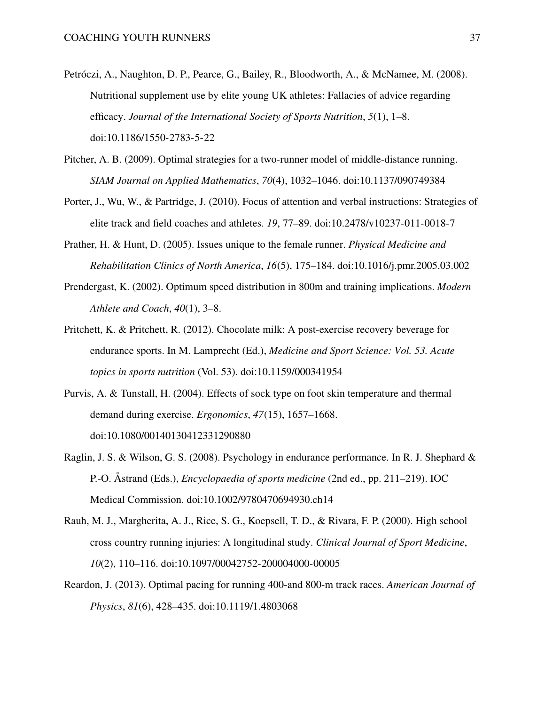- <span id="page-36-2"></span>Petróczi, A., Naughton, D. P., Pearce, G., Bailey, R., Bloodworth, A., & McNamee, M. (2008). Nutritional supplement use by elite young UK athletes: Fallacies of advice regarding efficacy. *Journal of the International Society of Sports Nutrition*, *5*(1), 1–8. doi[:10.1186/1550-2783-5-22](https://dx.doi.org/10.1186/1550-2783-5-22)
- <span id="page-36-7"></span>Pitcher, A. B. (2009). Optimal strategies for a two-runner model of middle-distance running. *SIAM Journal on Applied Mathematics*, *70*(4), 1032–1046. doi[:10.1137/090749384](https://dx.doi.org/10.1137/090749384)
- <span id="page-36-4"></span>Porter, J., Wu, W., & Partridge, J. (2010). Focus of attention and verbal instructions: Strategies of elite track and field coaches and athletes. *19*, 77–89. doi[:10.2478/v10237-011-0018-7](https://dx.doi.org/10.2478/v10237-011-0018-7)
- <span id="page-36-0"></span>Prather, H. & Hunt, D. (2005). Issues unique to the female runner. *Physical Medicine and Rehabilitation Clinics of North America*, *16*(5), 175–184. doi[:10.1016/j.pmr.2005.03.002](https://dx.doi.org/10.1016/j.pmr.2005.03.002)
- <span id="page-36-8"></span>Prendergast, K. (2002). Optimum speed distribution in 800m and training implications. *Modern Athlete and Coach*, *40*(1), 3–8.
- <span id="page-36-1"></span>Pritchett, K. & Pritchett, R. (2012). Chocolate milk: A post-exercise recovery beverage for endurance sports. In M. Lamprecht (Ed.), *Medicine and Sport Science: Vol. 53. Acute topics in sports nutrition* (Vol. 53). doi[:10.1159/000341954](https://dx.doi.org/10.1159/000341954)
- <span id="page-36-5"></span>Purvis, A. & Tunstall, H. (2004). Effects of sock type on foot skin temperature and thermal demand during exercise. *Ergonomics*, *47*(15), 1657–1668. doi[:10.1080/00140130412331290880](https://dx.doi.org/10.1080/00140130412331290880)
- <span id="page-36-3"></span>Raglin, J. S. & Wilson, G. S. (2008). Psychology in endurance performance. In R. J. Shephard & P.-O. Åstrand (Eds.), *Encyclopaedia of sports medicine* (2nd ed., pp. 211–219). IOC Medical Commission. doi[:10.1002/9780470694930.ch14](https://dx.doi.org/10.1002/9780470694930.ch14)
- <span id="page-36-6"></span>Rauh, M. J., Margherita, A. J., Rice, S. G., Koepsell, T. D., & Rivara, F. P. (2000). High school cross country running injuries: A longitudinal study. *Clinical Journal of Sport Medicine*, *10*(2), 110–116. doi[:10.1097/00042752-200004000-00005](https://dx.doi.org/10.1097/00042752-200004000-00005)
- <span id="page-36-9"></span>Reardon, J. (2013). Optimal pacing for running 400-and 800-m track races. *American Journal of Physics*, *81*(6), 428–435. doi[:10.1119/1.4803068](https://dx.doi.org/10.1119/1.4803068)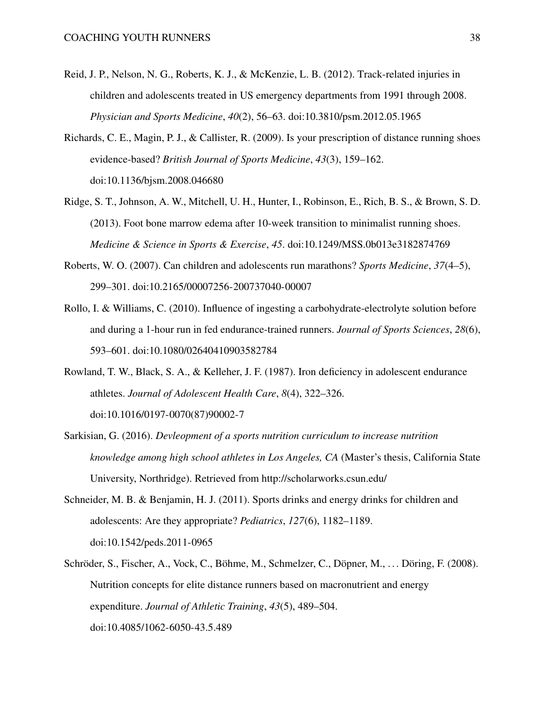- <span id="page-37-8"></span>Reid, J. P., Nelson, N. G., Roberts, K. J., & McKenzie, L. B. (2012). Track-related injuries in children and adolescents treated in US emergency departments from 1991 through 2008. *Physician and Sports Medicine*, *40*(2), 56–63. doi[:10.3810/psm.2012.05.1965](https://dx.doi.org/10.3810/psm.2012.05.1965)
- <span id="page-37-6"></span>Richards, C. E., Magin, P. J., & Callister, R. (2009). Is your prescription of distance running shoes evidence-based? *British Journal of Sports Medicine*, *43*(3), 159–162. doi[:10.1136/bjsm.2008.046680](https://dx.doi.org/10.1136/bjsm.2008.046680)
- <span id="page-37-7"></span>Ridge, S. T., Johnson, A. W., Mitchell, U. H., Hunter, I., Robinson, E., Rich, B. S., & Brown, S. D. (2013). Foot bone marrow edema after 10-week transition to minimalist running shoes. *Medicine & Science in Sports & Exercise*, *45*. doi[:10.1249/MSS.0b013e3182874769](https://dx.doi.org/10.1249/MSS.0b013e3182874769)
- <span id="page-37-0"></span>Roberts, W. O. (2007). Can children and adolescents run marathons? *Sports Medicine*, *37*(4–5), 299–301. doi[:10.2165/00007256-200737040-00007](https://dx.doi.org/10.2165/00007256-200737040-00007)
- <span id="page-37-2"></span>Rollo, I. & Williams, C. (2010). Influence of ingesting a carbohydrate-electrolyte solution before and during a 1-hour run in fed endurance-trained runners. *Journal of Sports Sciences*, *28*(6), 593–601. doi[:10.1080/02640410903582784](https://dx.doi.org/10.1080/02640410903582784)
- <span id="page-37-4"></span>Rowland, T. W., Black, S. A., & Kelleher, J. F. (1987). Iron deficiency in adolescent endurance athletes. *Journal of Adolescent Health Care*, *8*(4), 322–326. doi[:10.1016/0197-0070\(87\)90002-7](https://dx.doi.org/10.1016/0197-0070(87)90002-7)
- <span id="page-37-5"></span>Sarkisian, G. (2016). *Devleopment of a sports nutrition curriculum to increase nutrition knowledge among high school athletes in Los Angeles, CA* (Master's thesis, California State University, Northridge). Retrieved from<http://scholarworks.csun.edu/>
- <span id="page-37-3"></span>Schneider, M. B. & Benjamin, H. J. (2011). Sports drinks and energy drinks for children and adolescents: Are they appropriate? *Pediatrics*, *127*(6), 1182–1189. doi[:10.1542/peds.2011-0965](https://dx.doi.org/10.1542/peds.2011-0965)
- <span id="page-37-1"></span>Schröder, S., Fischer, A., Vock, C., Böhme, M., Schmelzer, C., Döpner, M., . . . Döring, F. (2008). Nutrition concepts for elite distance runners based on macronutrient and energy expenditure. *Journal of Athletic Training*, *43*(5), 489–504. doi[:10.4085/1062-6050-43.5.489](https://dx.doi.org/10.4085/1062-6050-43.5.489)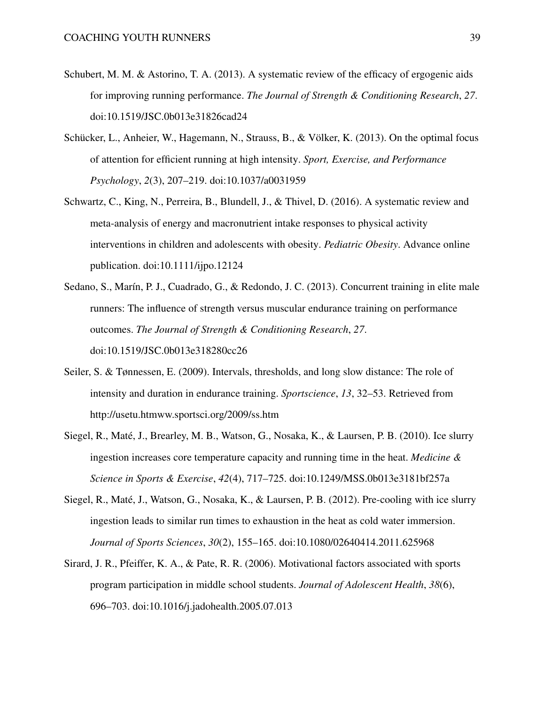- <span id="page-38-3"></span>Schubert, M. M. & Astorino, T. A. (2013). A systematic review of the efficacy of ergogenic aids for improving running performance. *The Journal of Strength & Conditioning Research*, *27*. doi[:10.1519/JSC.0b013e31826cad24](https://dx.doi.org/10.1519/JSC.0b013e31826cad24)
- <span id="page-38-4"></span>Schücker, L., Anheier, W., Hagemann, N., Strauss, B., & Völker, K. (2013). On the optimal focus of attention for efficient running at high intensity. *Sport, Exercise, and Performance Psychology*, *2*(3), 207–219. doi[:10.1037/a0031959](https://dx.doi.org/10.1037/a0031959)
- <span id="page-38-0"></span>Schwartz, C., King, N., Perreira, B., Blundell, J., & Thivel, D. (2016). A systematic review and meta-analysis of energy and macronutrient intake responses to physical activity interventions in children and adolescents with obesity. *Pediatric Obesity*. Advance online publication. doi[:10.1111/ijpo.12124](https://dx.doi.org/10.1111/ijpo.12124)
- <span id="page-38-7"></span>Sedano, S., Marín, P. J., Cuadrado, G., & Redondo, J. C. (2013). Concurrent training in elite male runners: The influence of strength versus muscular endurance training on performance outcomes. *The Journal of Strength & Conditioning Research*, *27*. doi[:10.1519/JSC.0b013e318280cc26](https://dx.doi.org/10.1519/JSC.0b013e318280cc26)
- <span id="page-38-6"></span>Seiler, S. & Tønnessen, E. (2009). Intervals, thresholds, and long slow distance: The role of intensity and duration in endurance training. *Sportscience*, *13*, 32–53. Retrieved from <http://usetu.htmww.sportsci.org/2009/ss.htm>
- <span id="page-38-1"></span>Siegel, R., Maté, J., Brearley, M. B., Watson, G., Nosaka, K., & Laursen, P. B. (2010). Ice slurry ingestion increases core temperature capacity and running time in the heat. *Medicine & Science in Sports & Exercise*, *42*(4), 717–725. doi[:10.1249/MSS.0b013e3181bf257a](https://dx.doi.org/10.1249/MSS.0b013e3181bf257a)
- <span id="page-38-2"></span>Siegel, R., Maté, J., Watson, G., Nosaka, K., & Laursen, P. B. (2012). Pre-cooling with ice slurry ingestion leads to similar run times to exhaustion in the heat as cold water immersion. *Journal of Sports Sciences*, *30*(2), 155–165. doi[:10.1080/02640414.2011.625968](https://dx.doi.org/10.1080/02640414.2011.625968)
- <span id="page-38-5"></span>Sirard, J. R., Pfeiffer, K. A., & Pate, R. R. (2006). Motivational factors associated with sports program participation in middle school students. *Journal of Adolescent Health*, *38*(6), 696–703. doi[:10.1016/j.jadohealth.2005.07.013](https://dx.doi.org/10.1016/j.jadohealth.2005.07.013)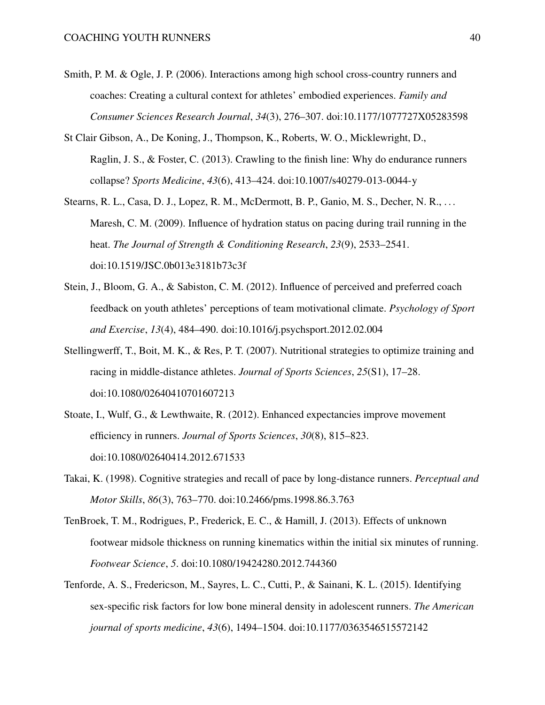- <span id="page-39-6"></span>Smith, P. M. & Ogle, J. P. (2006). Interactions among high school cross-country runners and coaches: Creating a cultural context for athletes' embodied experiences. *Family and Consumer Sciences Research Journal*, *34*(3), 276–307. doi[:10.1177/1077727X05283598](https://dx.doi.org/10.1177/1077727X05283598)
- <span id="page-39-3"></span>St Clair Gibson, A., De Koning, J., Thompson, K., Roberts, W. O., Micklewright, D., Raglin, J. S., & Foster, C. (2013). Crawling to the finish line: Why do endurance runners collapse? *Sports Medicine*, *43*(6), 413–424. doi[:10.1007/s40279-013-0044-y](https://dx.doi.org/10.1007/s40279-013-0044-y)
- <span id="page-39-1"></span>Stearns, R. L., Casa, D. J., Lopez, R. M., McDermott, B. P., Ganio, M. S., Decher, N. R., . . . Maresh, C. M. (2009). Influence of hydration status on pacing during trail running in the heat. *The Journal of Strength & Conditioning Research*, *23*(9), 2533–2541. doi[:10.1519/JSC.0b013e3181b73c3f](https://dx.doi.org/10.1519/JSC.0b013e3181b73c3f)
- <span id="page-39-4"></span>Stein, J., Bloom, G. A., & Sabiston, C. M. (2012). Influence of perceived and preferred coach feedback on youth athletes' perceptions of team motivational climate. *Psychology of Sport and Exercise*, *13*(4), 484–490. doi[:10.1016/j.psychsport.2012.02.004](https://dx.doi.org/10.1016/j.psychsport.2012.02.004)
- <span id="page-39-0"></span>Stellingwerff, T., Boit, M. K., & Res, P. T. (2007). Nutritional strategies to optimize training and racing in middle-distance athletes. *Journal of Sports Sciences*, *25*(S1), 17–28. doi[:10.1080/02640410701607213](https://dx.doi.org/10.1080/02640410701607213)
- <span id="page-39-5"></span>Stoate, I., Wulf, G., & Lewthwaite, R. (2012). Enhanced expectancies improve movement efficiency in runners. *Journal of Sports Sciences*, *30*(8), 815–823. doi[:10.1080/02640414.2012.671533](https://dx.doi.org/10.1080/02640414.2012.671533)
- <span id="page-39-8"></span>Takai, K. (1998). Cognitive strategies and recall of pace by long-distance runners. *Perceptual and Motor Skills*, *86*(3), 763–770. doi[:10.2466/pms.1998.86.3.763](https://dx.doi.org/10.2466/pms.1998.86.3.763)
- <span id="page-39-7"></span>TenBroek, T. M., Rodrigues, P., Frederick, E. C., & Hamill, J. (2013). Effects of unknown footwear midsole thickness on running kinematics within the initial six minutes of running. *Footwear Science*, *5*. doi[:10.1080/19424280.2012.744360](https://dx.doi.org/10.1080/19424280.2012.744360)
- <span id="page-39-2"></span>Tenforde, A. S., Fredericson, M., Sayres, L. C., Cutti, P., & Sainani, K. L. (2015). Identifying sex-specific risk factors for low bone mineral density in adolescent runners. *The American journal of sports medicine*, *43*(6), 1494–1504. doi[:10.1177/0363546515572142](https://dx.doi.org/10.1177/0363546515572142)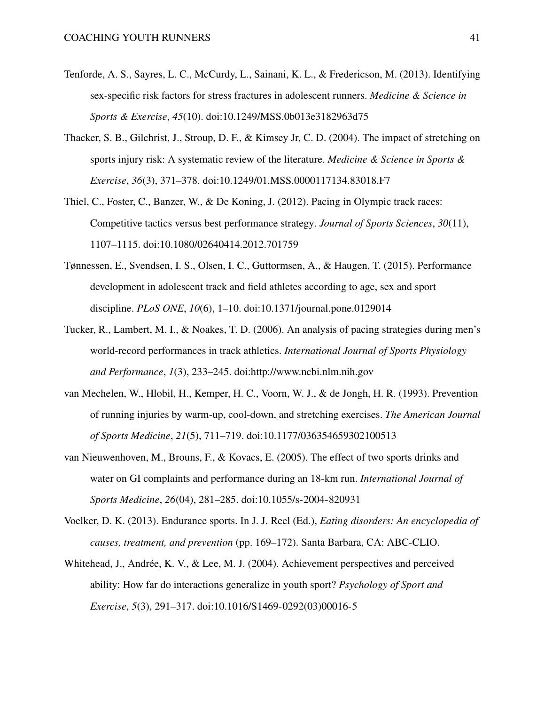- <span id="page-40-5"></span>Tenforde, A. S., Sayres, L. C., McCurdy, L., Sainani, K. L., & Fredericson, M. (2013). Identifying sex-specific risk factors for stress fractures in adolescent runners. *Medicine & Science in Sports & Exercise*, *45*(10). doi[:10.1249/MSS.0b013e3182963d75](https://dx.doi.org/10.1249/MSS.0b013e3182963d75)
- <span id="page-40-3"></span>Thacker, S. B., Gilchrist, J., Stroup, D. F., & Kimsey Jr, C. D. (2004). The impact of stretching on sports injury risk: A systematic review of the literature. *Medicine & Science in Sports & Exercise*, *36*(3), 371–378. doi[:10.1249/01.MSS.0000117134.83018.F7](https://dx.doi.org/10.1249/01.MSS.0000117134.83018.F7)
- <span id="page-40-6"></span>Thiel, C., Foster, C., Banzer, W., & De Koning, J. (2012). Pacing in Olympic track races: Competitive tactics versus best performance strategy. *Journal of Sports Sciences*, *30*(11), 1107–1115. doi[:10.1080/02640414.2012.701759](https://dx.doi.org/10.1080/02640414.2012.701759)
- <span id="page-40-8"></span>Tønnessen, E., Svendsen, I. S., Olsen, I. C., Guttormsen, A., & Haugen, T. (2015). Performance development in adolescent track and field athletes according to age, sex and sport discipline. *PLoS ONE*, *10*(6), 1–10. doi[:10.1371/journal.pone.0129014](https://dx.doi.org/10.1371/journal.pone.0129014)
- <span id="page-40-7"></span>Tucker, R., Lambert, M. I., & Noakes, T. D. (2006). An analysis of pacing strategies during men's world-record performances in track athletics. *International Journal of Sports Physiology and Performance*, *1*(3), 233–245. doi[:http://www.ncbi.nlm.nih.gov](https://dx.doi.org/http://www.ncbi.nlm.nih.gov)
- <span id="page-40-4"></span>van Mechelen, W., Hlobil, H., Kemper, H. C., Voorn, W. J., & de Jongh, H. R. (1993). Prevention of running injuries by warm-up, cool-down, and stretching exercises. *The American Journal of Sports Medicine*, *21*(5), 711–719. doi[:10.1177/036354659302100513](https://dx.doi.org/10.1177/036354659302100513)
- <span id="page-40-0"></span>van Nieuwenhoven, M., Brouns, F., & Kovacs, E. (2005). The effect of two sports drinks and water on GI complaints and performance during an 18-km run. *International Journal of Sports Medicine*, *26*(04), 281–285. doi[:10.1055/s-2004-820931](https://dx.doi.org/10.1055/s-2004-820931)
- <span id="page-40-1"></span>Voelker, D. K. (2013). Endurance sports. In J. J. Reel (Ed.), *Eating disorders: An encyclopedia of causes, treatment, and prevention* (pp. 169–172). Santa Barbara, CA: ABC-CLIO.
- <span id="page-40-2"></span>Whitehead, J., Andrée, K. V., & Lee, M. J. (2004). Achievement perspectives and perceived ability: How far do interactions generalize in youth sport? *Psychology of Sport and Exercise*, *5*(3), 291–317. doi[:10.1016/S1469-0292\(03\)00016-5](https://dx.doi.org/10.1016/S1469-0292(03)00016-5)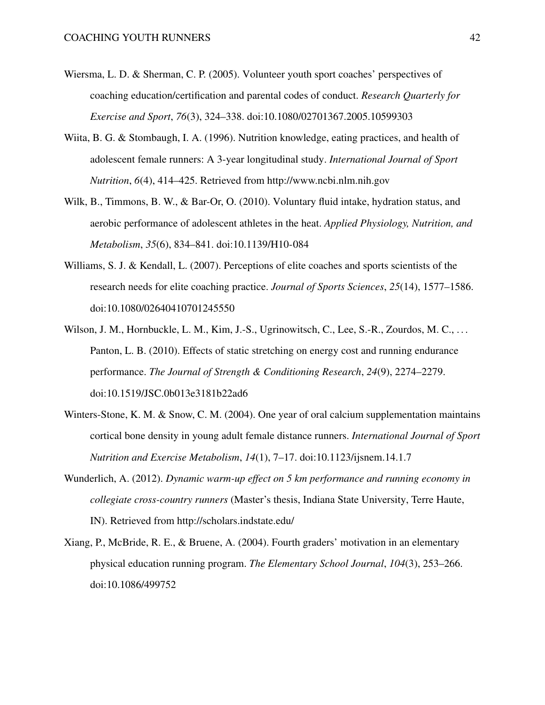- <span id="page-41-0"></span>Wiersma, L. D. & Sherman, C. P. (2005). Volunteer youth sport coaches' perspectives of coaching education/certification and parental codes of conduct. *Research Quarterly for Exercise and Sport*, *76*(3), 324–338. doi[:10.1080/02701367.2005.10599303](https://dx.doi.org/10.1080/02701367.2005.10599303)
- <span id="page-41-4"></span>Wiita, B. G. & Stombaugh, I. A. (1996). Nutrition knowledge, eating practices, and health of adolescent female runners: A 3-year longitudinal study. *International Journal of Sport Nutrition*, *6*(4), 414–425. Retrieved from<http://www.ncbi.nlm.nih.gov>
- <span id="page-41-2"></span>Wilk, B., Timmons, B. W., & Bar-Or, O. (2010). Voluntary fluid intake, hydration status, and aerobic performance of adolescent athletes in the heat. *Applied Physiology, Nutrition, and Metabolism*, *35*(6), 834–841. doi[:10.1139/H10-084](https://dx.doi.org/10.1139/H10-084)
- <span id="page-41-1"></span>Williams, S. J. & Kendall, L. (2007). Perceptions of elite coaches and sports scientists of the research needs for elite coaching practice. *Journal of Sports Sciences*, *25*(14), 1577–1586. doi[:10.1080/02640410701245550](https://dx.doi.org/10.1080/02640410701245550)
- <span id="page-41-6"></span>Wilson, J. M., Hornbuckle, L. M., Kim, J.-S., Ugrinowitsch, C., Lee, S.-R., Zourdos, M. C., ... Panton, L. B. (2010). Effects of static stretching on energy cost and running endurance performance. *The Journal of Strength & Conditioning Research*, *24*(9), 2274–2279. doi[:10.1519/JSC.0b013e3181b22ad6](https://dx.doi.org/10.1519/JSC.0b013e3181b22ad6)
- <span id="page-41-3"></span>Winters-Stone, K. M. & Snow, C. M. (2004). One year of oral calcium supplementation maintains cortical bone density in young adult female distance runners. *International Journal of Sport Nutrition and Exercise Metabolism*, *14*(1), 7–17. doi[:10.1123/ijsnem.14.1.7](https://dx.doi.org/10.1123/ijsnem.14.1.7)
- <span id="page-41-7"></span>Wunderlich, A. (2012). *Dynamic warm-up effect on 5 km performance and running economy in collegiate cross-country runners* (Master's thesis, Indiana State University, Terre Haute, IN). Retrieved from<http://scholars.indstate.edu/>
- <span id="page-41-5"></span>Xiang, P., McBride, R. E., & Bruene, A. (2004). Fourth graders' motivation in an elementary physical education running program. *The Elementary School Journal*, *104*(3), 253–266. doi[:10.1086/499752](https://dx.doi.org/10.1086/499752)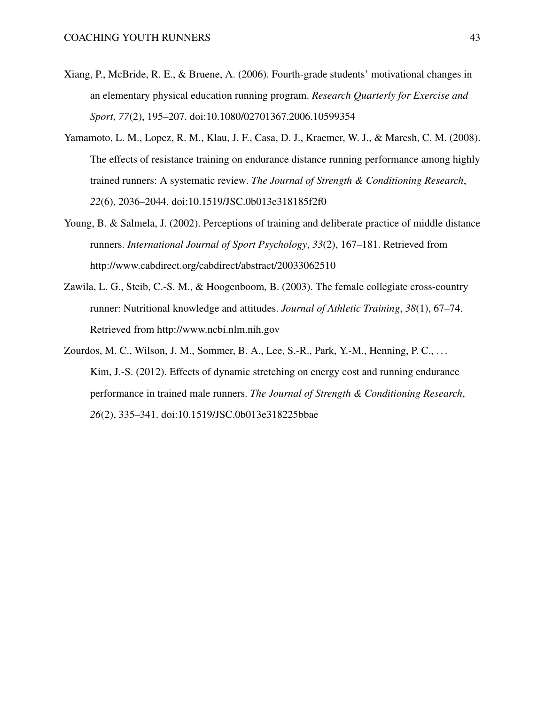- <span id="page-42-2"></span>Xiang, P., McBride, R. E., & Bruene, A. (2006). Fourth-grade students' motivational changes in an elementary physical education running program. *Research Quarterly for Exercise and Sport*, *77*(2), 195–207. doi[:10.1080/02701367.2006.10599354](https://dx.doi.org/10.1080/02701367.2006.10599354)
- <span id="page-42-4"></span>Yamamoto, L. M., Lopez, R. M., Klau, J. F., Casa, D. J., Kraemer, W. J., & Maresh, C. M. (2008). The effects of resistance training on endurance distance running performance among highly trained runners: A systematic review. *The Journal of Strength & Conditioning Research*, *22*(6), 2036–2044. doi[:10.1519/JSC.0b013e318185f2f0](https://dx.doi.org/10.1519/JSC.0b013e318185f2f0)
- <span id="page-42-1"></span>Young, B. & Salmela, J. (2002). Perceptions of training and deliberate practice of middle distance runners. *International Journal of Sport Psychology*, *33*(2), 167–181. Retrieved from <http://www.cabdirect.org/cabdirect/abstract/20033062510>
- <span id="page-42-0"></span>Zawila, L. G., Steib, C.-S. M., & Hoogenboom, B. (2003). The female collegiate cross-country runner: Nutritional knowledge and attitudes. *Journal of Athletic Training*, *38*(1), 67–74. Retrieved from<http://www.ncbi.nlm.nih.gov>
- <span id="page-42-3"></span>Zourdos, M. C., Wilson, J. M., Sommer, B. A., Lee, S.-R., Park, Y.-M., Henning, P. C., . . . Kim, J.-S. (2012). Effects of dynamic stretching on energy cost and running endurance performance in trained male runners. *The Journal of Strength & Conditioning Research*, *26*(2), 335–341. doi[:10.1519/JSC.0b013e318225bbae](https://dx.doi.org/10.1519/JSC.0b013e318225bbae)